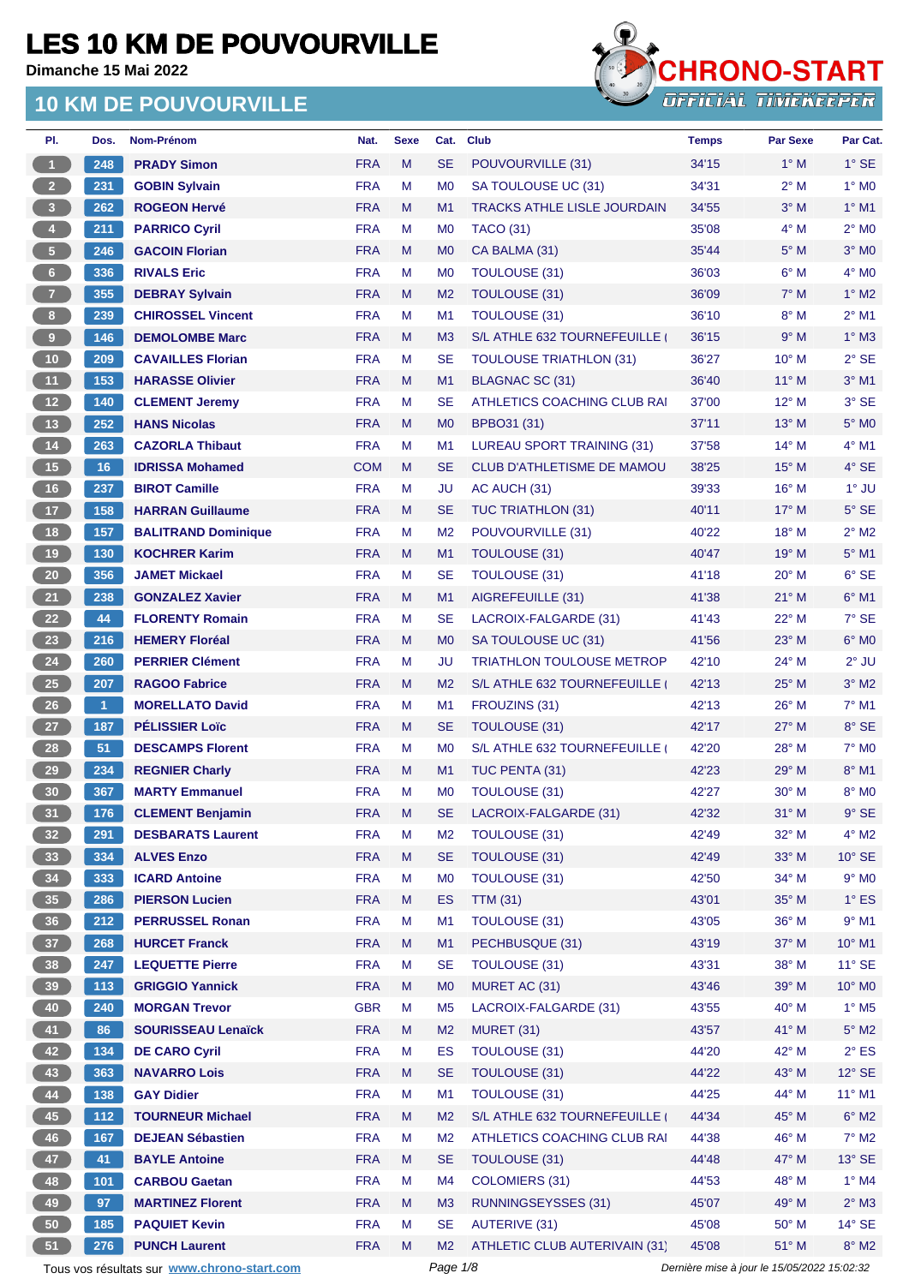**Dimanche 15 Mai 2022**



| PI.             | Dos.                 | Nom-Prénom                                  | Nat.       | <b>Sexe</b> | Cat.           | <b>Club</b>                        | <b>Temps</b> | <b>Par Sexe</b>                             | Par Cat.                   |
|-----------------|----------------------|---------------------------------------------|------------|-------------|----------------|------------------------------------|--------------|---------------------------------------------|----------------------------|
| $\mathbf{1}$    | 248                  | <b>PRADY Simon</b>                          | <b>FRA</b> | M           | <b>SE</b>      | POUVOURVILLE (31)                  | 34'15        | $1^\circ$ M                                 | $1^\circ$ SE               |
| $2^{\circ}$     | 231                  | <b>GOBIN Sylvain</b>                        | <b>FRA</b> | М           | M <sub>0</sub> | SA TOULOUSE UC (31)                | 34'31        | $2^{\circ}$ M                               | $1^\circ$ MO               |
| 3 <sup>7</sup>  | 262                  | <b>ROGEON Hervé</b>                         | <b>FRA</b> | M           | M1             | <b>TRACKS ATHLE LISLE JOURDAIN</b> | 34'55        | $3°$ M                                      | $1^\circ$ M1               |
| $\overline{4}$  | 211                  | <b>PARRICO Cyril</b>                        | <b>FRA</b> | M           | M <sub>0</sub> | <b>TACO (31)</b>                   | 35'08        | $4^\circ$ M                                 | $2^{\circ}$ M <sub>0</sub> |
| $5 -$           | 246                  | <b>GACOIN Florian</b>                       | <b>FRA</b> | M           | M <sub>0</sub> | CA BALMA (31)                      | 35'44        | $5^\circ$ M                                 | $3^\circ$ MO               |
| $6 -$           | 336                  | <b>RIVALS Eric</b>                          | <b>FRA</b> | М           | M <sub>0</sub> | <b>TOULOUSE (31)</b>               | 36'03        | $6^\circ$ M                                 | $4^\circ$ MO               |
| 7 <sup>2</sup>  | 355                  | <b>DEBRAY Sylvain</b>                       | <b>FRA</b> | М           | M <sub>2</sub> | <b>TOULOUSE (31)</b>               | 36'09        | $7^\circ$ M                                 | $1^\circ$ M2               |
| 8 <sub>1</sub>  | 239                  | <b>CHIROSSEL Vincent</b>                    | <b>FRA</b> | М           | M <sub>1</sub> | <b>TOULOUSE (31)</b>               | 36'10        | $8^\circ$ M                                 | $2^{\circ}$ M1             |
| $\mathbf 9$     | 146                  | <b>DEMOLOMBE Marc</b>                       | <b>FRA</b> | M           | M <sub>3</sub> | S/L ATHLE 632 TOURNEFEUILLE        | 36'15        | 9° M                                        | $1^\circ$ M3               |
| 10 <sup>°</sup> | 209                  | <b>CAVAILLES Florian</b>                    | <b>FRA</b> | M           | <b>SE</b>      | TOULOUSE TRIATHLON (31)            | 36'27        | $10^{\circ}$ M                              | $2°$ SE                    |
| 11 <sub>1</sub> | 153                  | <b>HARASSE Olivier</b>                      | <b>FRA</b> | M           | M1             | BLAGNAC SC (31)                    | 36'40        | $11^{\circ}$ M                              | $3°$ M1                    |
| 12 <sup>7</sup> | 140                  | <b>CLEMENT Jeremy</b>                       | <b>FRA</b> | M           | <b>SE</b>      | ATHLETICS COACHING CLUB RAI        | 37'00        | $12^{\circ}$ M                              | 3° SE                      |
| 13 <sup>°</sup> | 252                  | <b>HANS Nicolas</b>                         | <b>FRA</b> | М           | M <sub>0</sub> | BPBO31 (31)                        | 37'11        | $13^\circ$ M                                | $5^\circ$ MO               |
| 14              | 263                  | <b>CAZORLA Thibaut</b>                      | <b>FRA</b> | M           | M <sub>1</sub> | LUREAU SPORT TRAINING (31)         | 37'58        | $14^{\circ}$ M                              | $4^\circ$ M1               |
| 15 <sub>1</sub> | 16                   | <b>IDRISSA Mohamed</b>                      | <b>COM</b> | M           | SE             | <b>CLUB D'ATHLETISME DE MAMOU</b>  | 38'25        | $15^{\circ}$ M                              | $4^\circ$ SE               |
| 16              | 237                  | <b>BIROT Camille</b>                        | <b>FRA</b> | M           | <b>JU</b>      | AC AUCH (31)                       | 39'33        | $16^{\circ}$ M                              | $1^\circ$ JU               |
| 17 <sup>2</sup> | 158                  | <b>HARRAN Guillaume</b>                     | <b>FRA</b> | М           | SE             | <b>TUC TRIATHLON (31)</b>          | 40'11        | $17^{\circ}$ M                              | $5^\circ$ SE               |
| 18              | 157                  | <b>BALITRAND Dominique</b>                  | <b>FRA</b> | M           | M <sub>2</sub> | POUVOURVILLE (31)                  | 40'22        | $18^{\circ}$ M                              | $2^{\circ}$ M2             |
| 19              | 130                  | <b>KOCHRER Karim</b>                        | <b>FRA</b> | M           | M1             | TOULOUSE (31)                      | 40'47        | $19^{\circ}$ M                              | $5^\circ$ M1               |
| 20 <sub>2</sub> | 356                  | <b>JAMET Mickael</b>                        | <b>FRA</b> | М           | SE             | <b>TOULOUSE (31)</b>               | 41'18        | $20^\circ$ M                                | $6^{\circ}$ SE             |
| 21              | 238                  | <b>GONZALEZ Xavier</b>                      | <b>FRA</b> | M           | M1             | AIGREFEUILLE (31)                  | 41'38        | $21^{\circ}$ M                              | $6°$ M1                    |
|                 |                      |                                             | <b>FRA</b> |             | <b>SE</b>      |                                    |              | 22° M                                       | $7°$ SE                    |
| 22              | 44                   | <b>FLORENTY Romain</b>                      |            | M           |                | LACROIX-FALGARDE (31)              | 41'43        |                                             |                            |
| 23              | 216                  | <b>HEMERY Floréal</b>                       | <b>FRA</b> | M           | M <sub>0</sub> | SA TOULOUSE UC (31)                | 41'56        | $23^\circ$ M                                | $6^\circ$ MO               |
| 24              | 260                  | <b>PERRIER Clément</b>                      | <b>FRA</b> | М           | JU             | <b>TRIATHLON TOULOUSE METROP</b>   | 42'10        | 24° M                                       | $2^{\circ}$ JU             |
| 25              | 207                  | <b>RAGOO Fabrice</b>                        | <b>FRA</b> | M           | M <sub>2</sub> | S/L ATHLE 632 TOURNEFEUILLE        | 42'13        | $25^{\circ}$ M                              | $3^\circ$ M2               |
| 26              | $\blacktriangleleft$ | <b>MORELLATO David</b>                      | <b>FRA</b> | M           | M <sub>1</sub> | FROUZINS (31)                      | 42'13        | $26^{\circ}$ M                              | $7^\circ$ M1               |
| 27              | 187                  | <b>PÉLISSIER Loïc</b>                       | <b>FRA</b> | M           | <b>SE</b>      | <b>TOULOUSE (31)</b>               | 42'17        | $27^\circ$ M                                | 8° SE                      |
| 28              | 51                   | <b>DESCAMPS Florent</b>                     | <b>FRA</b> | М           | M <sub>0</sub> | S/L ATHLE 632 TOURNEFEUILLE (      | 42'20        | 28° M                                       | $7^\circ$ MO               |
| 29              | 234                  | <b>REGNIER Charly</b>                       | <b>FRA</b> | М           | M1             | TUC PENTA (31)                     | 42'23        | $29^\circ$ M                                | 8° M1                      |
| 30 <sub>o</sub> | 367                  | <b>MARTY Emmanuel</b>                       | <b>FRA</b> | М           | M <sub>0</sub> | <b>TOULOUSE (31)</b>               | 42'27        | $30^\circ$ M                                | 8° MO                      |
| 31              | 176                  | <b>CLEMENT Benjamin</b>                     | <b>FRA</b> | M           | SE             | LACROIX-FALGARDE (31)              | 42'32        | $31^\circ$ M                                | $9°$ SE                    |
| 32 <sub>2</sub> | 291                  | <b>DESBARATS Laurent</b>                    | <b>FRA</b> | M           | M <sub>2</sub> | <b>TOULOUSE (31)</b>               | 42'49        | 32° M                                       | $4^\circ$ M2               |
| 33 <sup>°</sup> | 334                  | <b>ALVES Enzo</b>                           | <b>FRA</b> | М           | <b>SE</b>      | TOULOUSE (31)                      | 42'49        | $33^\circ$ M                                | $10^{\circ}$ SE            |
| 34              | 333                  | <b>ICARD Antoine</b>                        | <b>FRA</b> | М           | M <sub>0</sub> | TOULOUSE (31)                      | 42'50        | 34° M                                       | $9^\circ$ MO               |
| 35 <sup>°</sup> | 286                  | <b>PIERSON Lucien</b>                       | <b>FRA</b> | M           | ES             | <b>TTM (31)</b>                    | 43'01        | 35° M                                       | $1^\circ$ ES               |
| 36 <sup>°</sup> | 212                  | <b>PERRUSSEL Ronan</b>                      | <b>FRA</b> | м           | M1             | TOULOUSE (31)                      | 43'05        | 36° M                                       | $9°$ M1                    |
| 37 <sup>2</sup> | 268                  | <b>HURCET Franck</b>                        | <b>FRA</b> | M           | M1             | PECHBUSQUE (31)                    | 43'19        | $37^\circ$ M                                | $10^{\circ}$ M1            |
| 38              | 247                  | <b>LEQUETTE Pierre</b>                      | <b>FRA</b> | M           | <b>SE</b>      | <b>TOULOUSE (31)</b>               | 43'31        | 38° M                                       | $11^{\circ}$ SE            |
| 39 <sup>°</sup> | $113$                | <b>GRIGGIO Yannick</b>                      | <b>FRA</b> | M           | M <sub>0</sub> | MURET AC (31)                      | 43'46        | 39° M                                       | $10^{\circ}$ MO            |
| 40              | 240                  | <b>MORGAN Trevor</b>                        | <b>GBR</b> | М           | M <sub>5</sub> | LACROIX-FALGARDE (31)              | 43'55        | 40° M                                       | $1^\circ$ M <sub>5</sub>   |
| 41              | 86                   | <b>SOURISSEAU Lenaïck</b>                   | <b>FRA</b> | M           | M <sub>2</sub> | MURET (31)                         | 43'57        | 41° M                                       | $5^\circ$ M2               |
| 42              | 134                  | <b>DE CARO Cyril</b>                        | <b>FRA</b> | M           | ES             | TOULOUSE (31)                      | 44'20        | 42° M                                       | $2^{\circ}$ ES             |
| 43              | 363                  | <b>NAVARRO Lois</b>                         | <b>FRA</b> | M           | <b>SE</b>      | <b>TOULOUSE (31)</b>               | 44'22        | 43° M                                       | $12^{\circ}$ SE            |
| 44              | 138                  | <b>GAY Didier</b>                           | <b>FRA</b> | М           | M <sub>1</sub> | TOULOUSE (31)                      | 44'25        | 44° M                                       | $11^{\circ}$ M1            |
| 45              | $112$                | <b>TOURNEUR Michael</b>                     | <b>FRA</b> | M           | M <sub>2</sub> | S/L ATHLE 632 TOURNEFEUILLE        | 44'34        | 45° M                                       | $6^\circ$ M2               |
| 46              | 167                  | <b>DEJEAN Sébastien</b>                     | <b>FRA</b> | M           | M <sub>2</sub> | ATHLETICS COACHING CLUB RAI        | 44'38        | 46° M                                       | $7^\circ$ M2               |
| 47              | 41                   | <b>BAYLE Antoine</b>                        | <b>FRA</b> | М           | <b>SE</b>      | TOULOUSE (31)                      | 44'48        | 47° M                                       | 13° SE                     |
| 48              | $101$                | <b>CARBOU Gaetan</b>                        | <b>FRA</b> | М           | M4             | <b>COLOMIERS (31)</b>              | 44'53        | 48° M                                       | $1^\circ$ M4               |
| 49              | 97                   | <b>MARTINEZ Florent</b>                     | <b>FRA</b> | M           | M <sub>3</sub> | <b>RUNNINGSEYSSES (31)</b>         | 45'07        | 49° M                                       | $2^\circ$ M3               |
| 50              | 185                  | <b>PAQUIET Kevin</b>                        | <b>FRA</b> | M           | SE             | AUTERIVE (31)                      | 45'08        | $50^\circ$ M                                | $14^\circ$ SE              |
| 51              | 276                  | <b>PUNCH Laurent</b>                        | <b>FRA</b> | M           | M <sub>2</sub> | ATHLETIC CLUB AUTERIVAIN (31)      | 45'08        | $51^\circ$ M                                | $8^\circ$ M2               |
|                 |                      | Tous vos résultats sur www.chrono-start.com |            |             | Page 1/8       |                                    |              | Dernière mise à jour le 15/05/2022 15:02:32 |                            |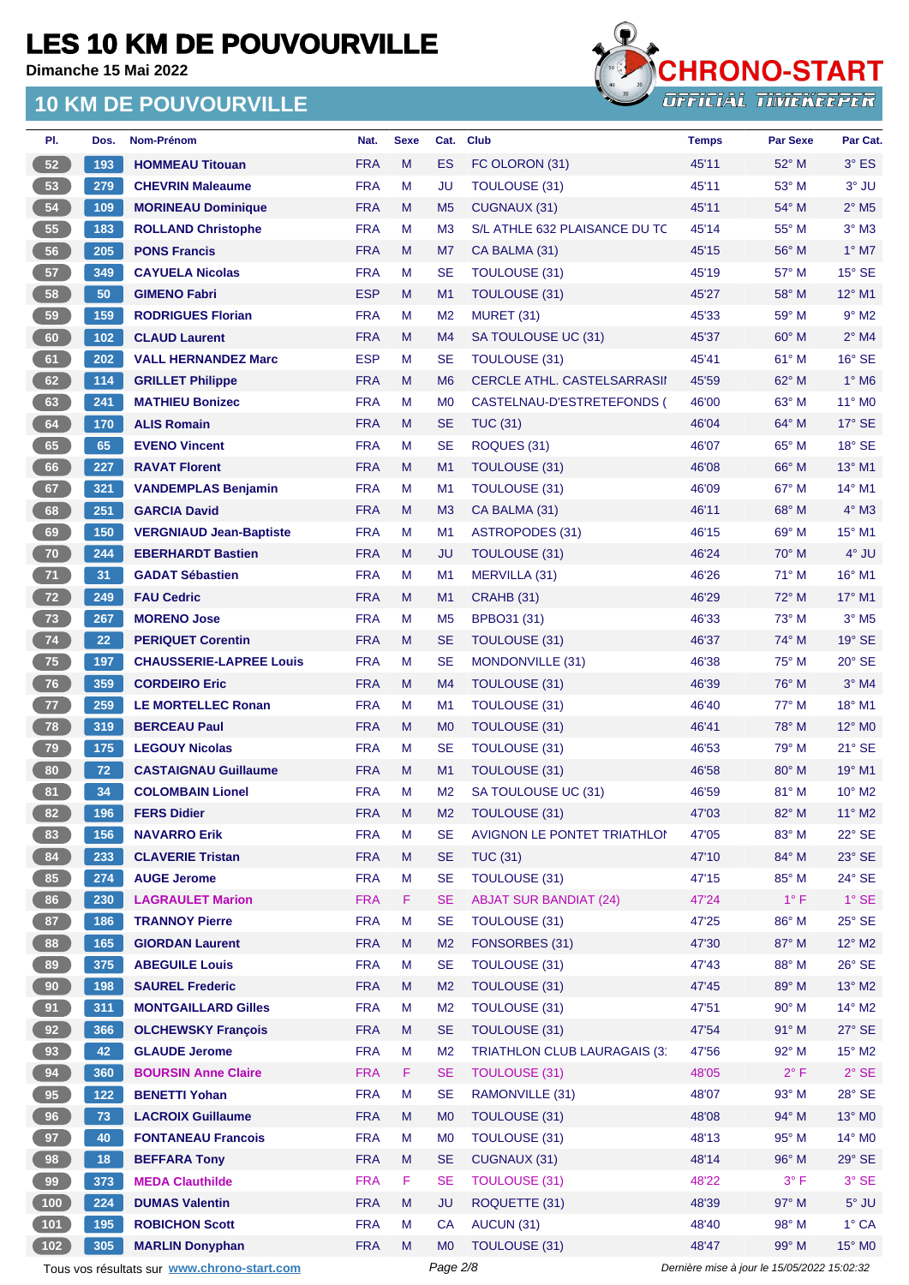**Dimanche 15 Mai 2022**



| PI.             | Dos.  | Nom-Prénom                                  | Nat.       | <b>Sexe</b> | Cat.           | <b>Club</b>                   | <b>Temps</b>                                | <b>Par Sexe</b>        | Par Cat.                   |
|-----------------|-------|---------------------------------------------|------------|-------------|----------------|-------------------------------|---------------------------------------------|------------------------|----------------------------|
| 52              | 193   | <b>HOMMEAU Titouan</b>                      | <b>FRA</b> | M           | <b>ES</b>      | FC OLORON (31)                | 45'11                                       | 52° M                  | $3°$ ES                    |
| 53              | 279   | <b>CHEVRIN Maleaume</b>                     | <b>FRA</b> | M           | <b>JU</b>      | <b>TOULOUSE (31)</b>          | 45'11                                       | 53° M                  | 3° JU                      |
| 54              | 109   | <b>MORINEAU Dominique</b>                   | <b>FRA</b> | M           | M <sub>5</sub> | CUGNAUX (31)                  | 45'11                                       | $54^{\circ}$ M         | $2^{\circ}$ M <sub>5</sub> |
| 55              | 183   | <b>ROLLAND Christophe</b>                   | <b>FRA</b> | м           | M <sub>3</sub> | S/L ATHLE 632 PLAISANCE DU TC | 45'14                                       | $55^{\circ}$ M         | $3°$ M $3$                 |
| 56              | 205   | <b>PONS Francis</b>                         | <b>FRA</b> | M           | M7             | CA BALMA (31)                 | 45'15                                       | $56^{\circ}$ M         | $1^\circ$ M7               |
| 57              | 349   | <b>CAYUELA Nicolas</b>                      | <b>FRA</b> | M           | <b>SE</b>      | <b>TOULOUSE (31)</b>          | 45'19                                       | 57° M                  | $15^\circ$ SE              |
| 58              | 50    | <b>GIMENO Fabri</b>                         | <b>ESP</b> | M           | M1             | <b>TOULOUSE (31)</b>          | 45'27                                       | $58^\circ$ M           | $12^{\circ}$ M1            |
| 59              | 159   | <b>RODRIGUES Florian</b>                    | <b>FRA</b> | М           | M <sub>2</sub> | <b>MURET (31)</b>             | 45'33                                       | 59° M                  | $9°$ M2                    |
| 60              | 102   | <b>CLAUD Laurent</b>                        | <b>FRA</b> | M           | M4             | SA TOULOUSE UC (31)           | 45'37                                       | $60^\circ$ M           | $2^{\circ}$ M4             |
| 61              | 202   | <b>VALL HERNANDEZ Marc</b>                  | <b>ESP</b> | M           | <b>SE</b>      | <b>TOULOUSE (31)</b>          | 45'41                                       | 61° M                  | $16°$ SE                   |
| 62              | 114   | <b>GRILLET Philippe</b>                     | <b>FRA</b> | M           | M <sub>6</sub> | CERCLE ATHL. CASTELSARRASII   | 45'59                                       | 62° M                  | $1^\circ$ M6               |
| 63              | 241   | <b>MATHIEU Bonizec</b>                      | <b>FRA</b> | М           | M <sub>0</sub> | CASTELNAU-D'ESTRETEFONDS (    | 46'00                                       | $63^\circ$ M           | 11° MO                     |
| 64              | 170   | <b>ALIS Romain</b>                          | <b>FRA</b> | M           | <b>SE</b>      | <b>TUC (31)</b>               | 46'04                                       | $64^{\circ}$ M         | $17^\circ$ SE              |
| 65              | 65    | <b>EVENO Vincent</b>                        | <b>FRA</b> | м           | <b>SE</b>      | ROQUES (31)                   | 46'07                                       | $65^{\circ}$ M         | $18^\circ$ SE              |
| 66              | 227   | <b>RAVAT Florent</b>                        | <b>FRA</b> | M           | M1             | <b>TOULOUSE (31)</b>          | 46'08                                       | 66° M                  | $13^{\circ}$ M1            |
| 67              | 321   | <b>VANDEMPLAS Benjamin</b>                  | <b>FRA</b> | М           | M <sub>1</sub> | <b>TOULOUSE (31)</b>          | 46'09                                       | $67^\circ$ M           | 14° M1                     |
| 68              | 251   | <b>GARCIA David</b>                         | <b>FRA</b> | M           | M <sub>3</sub> | CA BALMA (31)                 | 46'11                                       | 68° M                  | $4^\circ$ M3               |
| 69              | 150   | <b>VERGNIAUD Jean-Baptiste</b>              | <b>FRA</b> | М           | M <sub>1</sub> | <b>ASTROPODES (31)</b>        | 46'15                                       | 69° M                  | $15^{\circ}$ M1            |
| 70              | 244   | <b>EBERHARDT Bastien</b>                    | <b>FRA</b> | M           | JU             | TOULOUSE (31)                 | 46'24                                       | $70^\circ$ M           | 4° JU                      |
| $71$            | 31    | <b>GADAT Sébastien</b>                      | <b>FRA</b> | М           | M1             | <b>MERVILLA (31)</b>          | 46'26                                       | $71^\circ$ M           | $16^{\circ}$ M1            |
| 72              | 249   | <b>FAU Cedric</b>                           | <b>FRA</b> | M           | M1             | <b>CRAHB (31)</b>             | 46'29                                       | $72^{\circ}$ M         | 17° M1                     |
| 73              | 267   | <b>MORENO Jose</b>                          | <b>FRA</b> | М           | M <sub>5</sub> | BPBO31 (31)                   | 46'33                                       | $73^\circ$ M           | $3^\circ$ M5               |
| 74              | 22    | <b>PERIQUET Corentin</b>                    | <b>FRA</b> | M           | <b>SE</b>      | <b>TOULOUSE (31)</b>          | 46'37                                       | $74^\circ$ M           | $19°$ SE                   |
| 75 <sub>2</sub> | 197   | <b>CHAUSSERIE-LAPREE Louis</b>              | <b>FRA</b> | М           | <b>SE</b>      | MONDONVILLE (31)              | 46'38                                       | 75° M                  | $20^\circ$ SE              |
| 76              | 359   | <b>CORDEIRO Eric</b>                        | <b>FRA</b> | M           | M4             | TOULOUSE (31)                 | 46'39                                       | 76° M                  | $3°$ M4                    |
| 77              | 259   | <b>LE MORTELLEC Ronan</b>                   | <b>FRA</b> | М           | M <sub>1</sub> | <b>TOULOUSE (31)</b>          | 46'40                                       | $77^\circ$ M           | 18° M1                     |
| 78              | 319   | <b>BERCEAU Paul</b>                         | <b>FRA</b> | M           | M <sub>0</sub> | <b>TOULOUSE (31)</b>          | 46'41                                       | $78^\circ$ M           | 12° M <sub>0</sub>         |
| 79              | 175   | <b>LEGOUY Nicolas</b>                       | <b>FRA</b> | M           | <b>SE</b>      | TOULOUSE (31)                 | 46'53                                       | 79° M                  | $21^\circ$ SE              |
| 80              | 72    | <b>CASTAIGNAU Guillaume</b>                 | <b>FRA</b> | M           | M1             | <b>TOULOUSE (31)</b>          | 46'58                                       | $80^\circ$ M           | $19^{\circ}$ M1            |
| 81              | 34    | <b>COLOMBAIN Lionel</b>                     | <b>FRA</b> | М           | M <sub>2</sub> | SA TOULOUSE UC (31)           | 46'59                                       | $81^\circ$ M           | $10^{\circ}$ M2            |
| 82              | 196   | <b>FERS Didier</b>                          | <b>FRA</b> | M           | M <sub>2</sub> | <b>TOULOUSE (31)</b>          | 47'03                                       | $82^\circ$ M           | $11^{\circ}$ M2            |
| 83              | 156   | <b>NAVARRO Erik</b>                         | <b>FRA</b> | М           | <b>SE</b>      | AVIGNON LE PONTET TRIATHLOI   | 47'05                                       | 83° M                  | 22° SE                     |
| 84              | 233   | <b>CLAVERIE Tristan</b>                     | <b>FRA</b> | M           | <b>SE</b>      | <b>TUC (31)</b>               | 47'10                                       | 84° M                  | $23^\circ$ SE              |
| 85              | 274   | <b>AUGE Jerome</b>                          | <b>FRA</b> | M           | <b>SE</b>      | TOULOUSE (31)                 | 47'15                                       | 85° M                  | 24° SE                     |
| 86              | 230   | <b>LAGRAULET Marion</b>                     | <b>FRA</b> | F.          | <b>SE</b>      | <b>ABJAT SUR BANDIAT (24)</b> | 47'24                                       | $1^{\circ}$ F          | $1^\circ$ SE               |
| 87              | 186   | <b>TRANNOY Pierre</b>                       | <b>FRA</b> | М           | <b>SE</b>      | <b>TOULOUSE (31)</b>          | 47'25                                       | $86^{\circ}$ M         | $25^{\circ}$ SE            |
| 88              | 165   | <b>GIORDAN Laurent</b>                      | <b>FRA</b> | M           | M <sub>2</sub> | <b>FONSORBES (31)</b>         | 47'30                                       | 87° M                  | 12° M2                     |
| 89              | 375   | <b>ABEGUILE Louis</b>                       | <b>FRA</b> | M           | <b>SE</b>      | TOULOUSE (31)                 | 47'43                                       | 88° M                  | $26^{\circ}$ SE            |
| 90 <sub>o</sub> | 198   | <b>SAUREL Frederic</b>                      | <b>FRA</b> | M           | M <sub>2</sub> | TOULOUSE (31)                 | 47'45                                       | 89° M                  | $13^{\circ}$ M2            |
| 91              | 311   | <b>MONTGAILLARD Gilles</b>                  | <b>FRA</b> | М           | M <sub>2</sub> | <b>TOULOUSE (31)</b>          | 47'51                                       | $90^\circ$ M           | 14° M2                     |
|                 |       |                                             |            | M           | <b>SE</b>      | <b>TOULOUSE (31)</b>          | 47'54                                       | 91° M                  | 27° SE                     |
| 92              | 366   | <b>OLCHEWSKY François</b>                   | <b>FRA</b> |             |                |                               |                                             |                        |                            |
| 93              | 42    | <b>GLAUDE Jerome</b>                        | <b>FRA</b> | M<br>F.     | M <sub>2</sub> | TRIATHLON CLUB LAURAGAIS (3)  | 47'56                                       | 92° M<br>$2^{\circ}$ F | $15^{\circ}$ M2            |
| 94              | 360   | <b>BOURSIN Anne Claire</b>                  | <b>FRA</b> |             | <b>SE</b>      | <b>TOULOUSE (31)</b>          | 48'05                                       |                        | $2°$ SE                    |
| 95              | $122$ | <b>BENETTI Yohan</b>                        | <b>FRA</b> | M           | <b>SE</b>      | RAMONVILLE (31)               | 48'07                                       | $93^\circ$ M           | 28° SE                     |
| 96              | 73    | <b>LACROIX Guillaume</b>                    | <b>FRA</b> | M           | M <sub>0</sub> | TOULOUSE (31)                 | 48'08                                       | 94° M                  | 13° MO                     |
| 97              | 40    | <b>FONTANEAU Francois</b>                   | <b>FRA</b> | М           | M <sub>0</sub> | <b>TOULOUSE (31)</b>          | 48'13                                       | 95° M                  | 14° MO                     |
| 98              | 18    | <b>BEFFARA Tony</b>                         | <b>FRA</b> | M           | <b>SE</b>      | CUGNAUX (31)                  | 48'14                                       | 96° M                  | $29^\circ$ SE              |
| 99              | 373   | <b>MEDA Clauthilde</b>                      | <b>FRA</b> | F.          | <b>SE</b>      | <b>TOULOUSE (31)</b>          | 48'22                                       | $3^{\circ}$ F          | $3°$ SE                    |
| 100             | 224   | <b>DUMAS Valentin</b>                       | <b>FRA</b> | M           | <b>JU</b>      | ROQUETTE (31)                 | 48'39                                       | 97° M                  | $5^\circ$ JU               |
| 101             | 195   | <b>ROBICHON Scott</b>                       | <b>FRA</b> | М           | <b>CA</b>      | AUCUN (31)                    | 48'40                                       | 98° M                  | 1° CA                      |
| $102$           | 305   | <b>MARLIN Donyphan</b>                      | <b>FRA</b> | M           | M <sub>0</sub> | TOULOUSE (31)                 | 48'47                                       | 99° M                  | 15° MO                     |
|                 |       | Tous vos résultats sur www.chrono-start.com |            |             | Page 2/8       |                               | Dernière mise à jour le 15/05/2022 15:02:32 |                        |                            |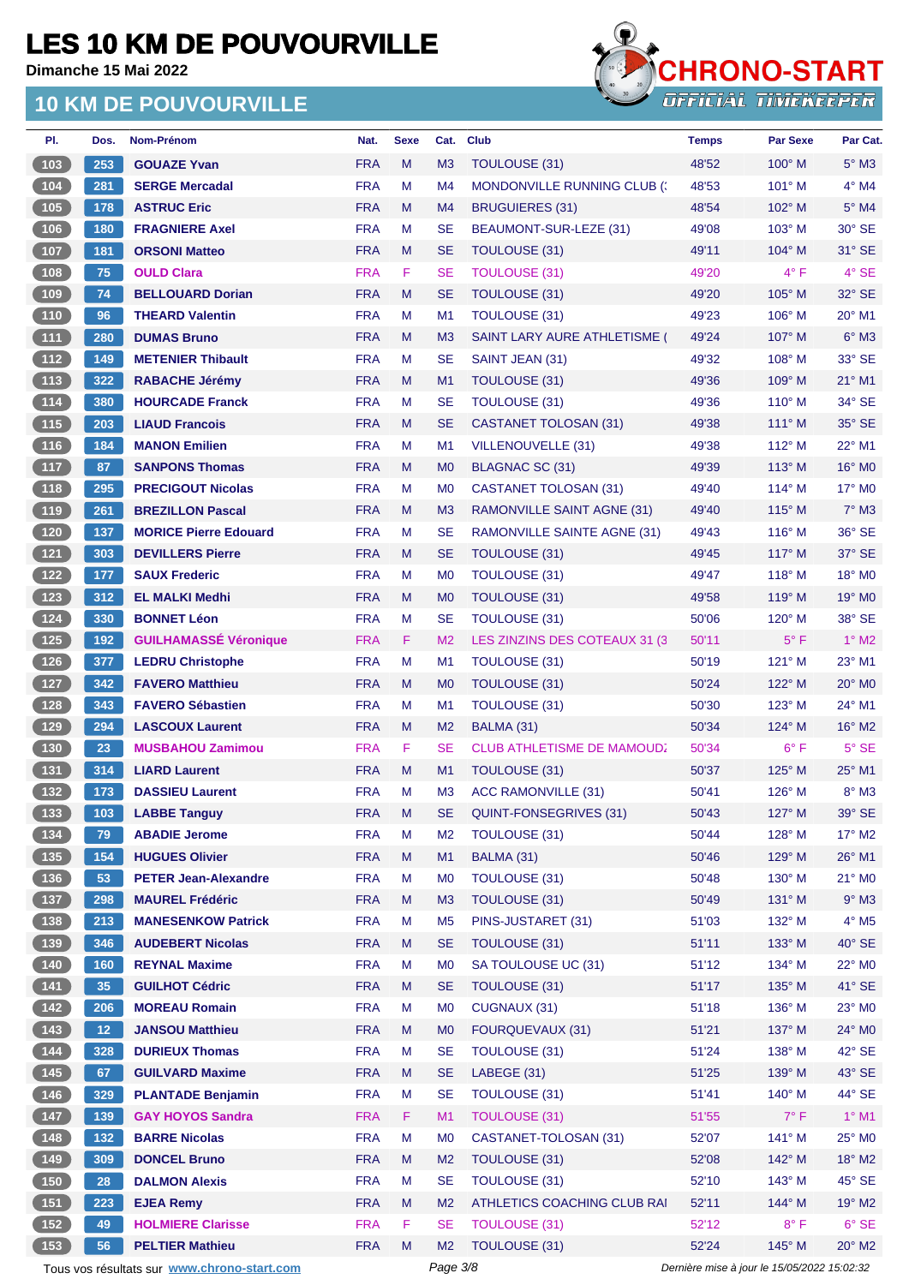**Dimanche 15 Mai 2022**



| PI.                | Dos. | Nom-Prénom                                  | Nat.       | <b>Sexe</b> | Cat.           | <b>Club</b>                        | <b>Temps</b> | <b>Par Sexe</b>                             | Par Cat.           |
|--------------------|------|---------------------------------------------|------------|-------------|----------------|------------------------------------|--------------|---------------------------------------------|--------------------|
| 103                | 253  | <b>GOUAZE Yvan</b>                          | <b>FRA</b> | M           | M <sub>3</sub> | TOULOUSE (31)                      | 48'52        | $100^\circ$ M                               | $5^\circ$ M3       |
| 104                | 281  | <b>SERGE Mercadal</b>                       | <b>FRA</b> | М           | M4             | <b>MONDONVILLE RUNNING CLUB (</b>  | 48'53        | 101° M                                      | $4^\circ$ M4       |
| 105                | 178  | <b>ASTRUC Eric</b>                          | <b>FRA</b> | M           | M4             | <b>BRUGUIERES (31)</b>             | 48'54        | 102° M                                      | $5^\circ$ M4       |
| 106                | 180  | <b>FRAGNIERE Axel</b>                       | <b>FRA</b> | M           | <b>SE</b>      | BEAUMONT-SUR-LEZE (31)             | 49'08        | $103^\circ$ M                               | 30° SE             |
| 107                | 181  | <b>ORSONI Matteo</b>                        | <b>FRA</b> | M           | <b>SE</b>      | TOULOUSE (31)                      | 49'11        | 104° M                                      | $31^\circ$ SE      |
| 108                | 75   | <b>OULD Clara</b>                           | <b>FRA</b> | F           | <b>SE</b>      | <b>TOULOUSE (31)</b>               | 49'20        | $4^{\circ}$ F                               | $4°$ SE            |
| 109                | 74   | <b>BELLOUARD Dorian</b>                     | <b>FRA</b> | M           | <b>SE</b>      | <b>TOULOUSE (31)</b>               | 49'20        | $105^\circ$ M                               | 32° SE             |
| $\boxed{110}$      | 96   | <b>THEARD Valentin</b>                      | <b>FRA</b> | M           | M <sub>1</sub> | <b>TOULOUSE (31)</b>               | 49'23        | $106^\circ$ M                               | $20^\circ$ M1      |
| $111$              | 280  | <b>DUMAS Bruno</b>                          | <b>FRA</b> | M           | M <sub>3</sub> | SAINT LARY AURE ATHLETISME (       | 49'24        | 107° M                                      | $6^\circ$ M3       |
| $112$              | 149  | <b>METENIER Thibault</b>                    | <b>FRA</b> | M           | <b>SE</b>      | SAINT JEAN (31)                    | 49'32        | $108^\circ$ M                               | 33° SE             |
| $113$              | 322  | <b>RABACHE Jérémy</b>                       | <b>FRA</b> | M           | M1             | <b>TOULOUSE (31)</b>               | 49'36        | 109° M                                      | $21^{\circ}$ M1    |
| $114$              | 380  | <b>HOURCADE Franck</b>                      | <b>FRA</b> | M           | <b>SE</b>      | TOULOUSE (31)                      | 49'36        | $110^\circ$ M                               | 34° SE             |
| $115$              | 203  | <b>LIAUD Francois</b>                       | <b>FRA</b> | M           | <b>SE</b>      | <b>CASTANET TOLOSAN (31)</b>       | 49'38        | $111^\circ$ M                               | 35° SE             |
| 116                | 184  | <b>MANON Emilien</b>                        | <b>FRA</b> | M           | M1             | VILLENOUVELLE (31)                 | 49'38        | $112^\circ$ M                               | 22° M1             |
| $117$              | 87   | <b>SANPONS Thomas</b>                       | <b>FRA</b> | M           | M <sub>0</sub> | BLAGNAC SC (31)                    | 49'39        | $113^\circ$ M                               | $16^\circ$ MO      |
| 118                | 295  | <b>PRECIGOUT Nicolas</b>                    | <b>FRA</b> | M           | M <sub>0</sub> | <b>CASTANET TOLOSAN (31)</b>       | 49'40        | $114^\circ$ M                               | 17° M0             |
| 119                | 261  | <b>BREZILLON Pascal</b>                     | <b>FRA</b> | M           | M <sub>3</sub> | RAMONVILLE SAINT AGNE (31)         | 49'40        | $115^\circ$ M                               | $7^\circ$ M3       |
| $120$              | 137  | <b>MORICE Pierre Edouard</b>                | <b>FRA</b> | м           | <b>SE</b>      | <b>RAMONVILLE SAINTE AGNE (31)</b> | 49'43        | $116^\circ$ M                               | 36° SE             |
| $121$              | 303  | <b>DEVILLERS Pierre</b>                     | <b>FRA</b> | M           | <b>SE</b>      | <b>TOULOUSE (31)</b>               | 49'45        | 117° M                                      | 37° SE             |
| $122$              | 177  | <b>SAUX Frederic</b>                        | <b>FRA</b> | M           | M <sub>0</sub> | <b>TOULOUSE (31)</b>               | 49'47        | $118^\circ$ M                               | $18^\circ$ MO      |
| 123                | 312  | <b>EL MALKI Medhi</b>                       | <b>FRA</b> | M           | M <sub>0</sub> | <b>TOULOUSE (31)</b>               | 49'58        | 119° M                                      | 19° M <sub>0</sub> |
| 124                | 330  | <b>BONNET Léon</b>                          | <b>FRA</b> | M           | <b>SE</b>      | <b>TOULOUSE (31)</b>               | 50'06        | $120^\circ$ M                               | 38° SE             |
| 125                | 192  | <b>GUILHAMASSÉ Véronique</b>                | <b>FRA</b> | F           | M <sub>2</sub> | LES ZINZINS DES COTEAUX 31 (3)     | 50'11        | $5^{\circ}$ F                               | $1^\circ$ M2       |
| $126$              | 377  | <b>LEDRU Christophe</b>                     | <b>FRA</b> | M           | M <sub>1</sub> | TOULOUSE (31)                      | 50'19        | $121^\circ$ M                               | 23° M1             |
| $127$              | 342  | <b>FAVERO Matthieu</b>                      | <b>FRA</b> | M           | M <sub>0</sub> | <b>TOULOUSE (31)</b>               | 50'24        | 122° M                                      | $20^\circ$ MO      |
| 128                | 343  | <b>FAVERO Sébastien</b>                     | <b>FRA</b> | M           | M <sub>1</sub> | <b>TOULOUSE (31)</b>               | 50'30        | $123^\circ$ M                               | 24° M1             |
| 129                | 294  | <b>LASCOUX Laurent</b>                      | <b>FRA</b> | M           | M <sub>2</sub> | BALMA (31)                         | 50'34        | $124^\circ$ M                               | 16° M2             |
|                    |      |                                             |            | F           | <b>SE</b>      |                                    |              |                                             |                    |
| 130                | 23   | <b>MUSBAHOU Zamimou</b>                     | <b>FRA</b> |             |                | <b>CLUB ATHLETISME DE MAMOUD?</b>  | 50'34        | $6^{\circ}$ F                               | $5^{\circ}$ SE     |
| 131                | 314  | <b>LIARD Laurent</b>                        | <b>FRA</b> | M           | M1             | <b>TOULOUSE (31)</b>               | 50'37        | $125^\circ$ M                               | 25° M1             |
| 132                | 173  | <b>DASSIEU Laurent</b>                      | <b>FRA</b> | M           | M <sub>3</sub> | <b>ACC RAMONVILLE (31)</b>         | 50'41        | $126^\circ$ M                               | $8^\circ$ M3       |
| 133                | 103  | <b>LABBE Tanguy</b>                         | <b>FRA</b> | M           | <b>SE</b>      | QUINT-FONSEGRIVES (31)             | 50'43        | 127° M                                      | 39° SE             |
| 134                | 79   | <b>ABADIE Jerome</b>                        | <b>FRA</b> | M           | M <sub>2</sub> | <b>TOULOUSE (31)</b>               | 50'44        | 128° M                                      | 17° M2             |
| 135                | 154  | <b>HUGUES Olivier</b>                       | <b>FRA</b> | M           | M1             | BALMA (31)                         | 50'46        | 129° M                                      | 26° M1             |
| 136                | 53   | <b>PETER Jean-Alexandre</b>                 | <b>FRA</b> | М           | M <sub>0</sub> | TOULOUSE (31)                      | 50'48        | 130° M                                      | 21° MO             |
| 137                | 298  | <b>MAUREL Frédéric</b>                      | <b>FRA</b> | M           | M3             | TOULOUSE (31)                      | 50'49        | 131° M                                      | $9°$ M3            |
| 138                | 213  | <b>MANESENKOW Patrick</b>                   | <b>FRA</b> | М           | M <sub>5</sub> | PINS-JUSTARET (31)                 | 51'03        | 132° M                                      | $4^\circ$ M5       |
| 139                | 346  | <b>AUDEBERT Nicolas</b>                     | <b>FRA</b> | M           | <b>SE</b>      | TOULOUSE (31)                      | 51'11        | 133° M                                      | 40° SE             |
| $140$              | 160  | <b>REYNAL Maxime</b>                        | <b>FRA</b> | M           | M <sub>0</sub> | SA TOULOUSE UC (31)                | 51'12        | 134° M                                      | 22° M0             |
| $141$              | 35   | <b>GUILHOT Cédric</b>                       | <b>FRA</b> | M           | <b>SE</b>      | TOULOUSE (31)                      | 51'17        | $135^\circ$ M                               | 41° SE             |
| 142                | 206  | <b>MOREAU Romain</b>                        | <b>FRA</b> | М           | M <sub>0</sub> | <b>CUGNAUX (31)</b>                | 51'18        | 136° M                                      | 23° MO             |
| $\left[143\right]$ | 12   | <b>JANSOU Matthieu</b>                      | <b>FRA</b> | M           | M <sub>0</sub> | FOURQUEVAUX (31)                   | 51'21        | 137° M                                      | 24° MO             |
| 144                | 328  | <b>DURIEUX Thomas</b>                       | <b>FRA</b> | M           | <b>SE</b>      | TOULOUSE (31)                      | 51'24        | 138° M                                      | $42^\circ$ SE      |
| 145                | 67   | <b>GUILVARD Maxime</b>                      | <b>FRA</b> | M           | <b>SE</b>      | LABEGE (31)                        | 51'25        | 139° M                                      | 43° SE             |
| 146                | 329  | <b>PLANTADE Benjamin</b>                    | <b>FRA</b> | M           | <b>SE</b>      | TOULOUSE (31)                      | 51'41        | $140^\circ$ M                               | $44^{\circ}$ SE    |
| $147$              | 139  | <b>GAY HOYOS Sandra</b>                     | <b>FRA</b> | F           | M1             | <b>TOULOUSE (31)</b>               | 51'55        | $7^\circ$ F                                 | $1^\circ$ M1       |
| 148                | 132  | <b>BARRE Nicolas</b>                        | <b>FRA</b> | M           | M <sub>0</sub> | CASTANET-TOLOSAN (31)              | 52'07        | $141^\circ$ M                               | 25° MO             |
| 149                | 309  | <b>DONCEL Bruno</b>                         | <b>FRA</b> | M           | M <sub>2</sub> | TOULOUSE (31)                      | 52'08        | 142° M                                      | $18^\circ$ M2      |
| 150                | 28   | <b>DALMON Alexis</b>                        | <b>FRA</b> | М           | <b>SE</b>      | <b>TOULOUSE (31)</b>               | 52'10        | 143° M                                      | 45° SE             |
| $\boxed{151}$      | 223  | <b>EJEA Remy</b>                            | <b>FRA</b> | M           | M <sub>2</sub> | ATHLETICS COACHING CLUB RAI        | 52'11        | 144° M                                      | 19° M2             |
| 152                | 49   | <b>HOLMIERE Clarisse</b>                    | <b>FRA</b> | F           | <b>SE</b>      | <b>TOULOUSE (31)</b>               | 52'12        | $8^{\circ}$ F                               | $6°$ SE            |
| 153                | 56   | <b>PELTIER Mathieu</b>                      | <b>FRA</b> | M           | M <sub>2</sub> | TOULOUSE (31)                      | 52'24        | 145° M                                      | $20^\circ$ M2      |
|                    |      | Tous vos résultats sur www.chrono-start.com |            |             | Page 3/8       |                                    |              | Dernière mise à jour le 15/05/2022 15:02:32 |                    |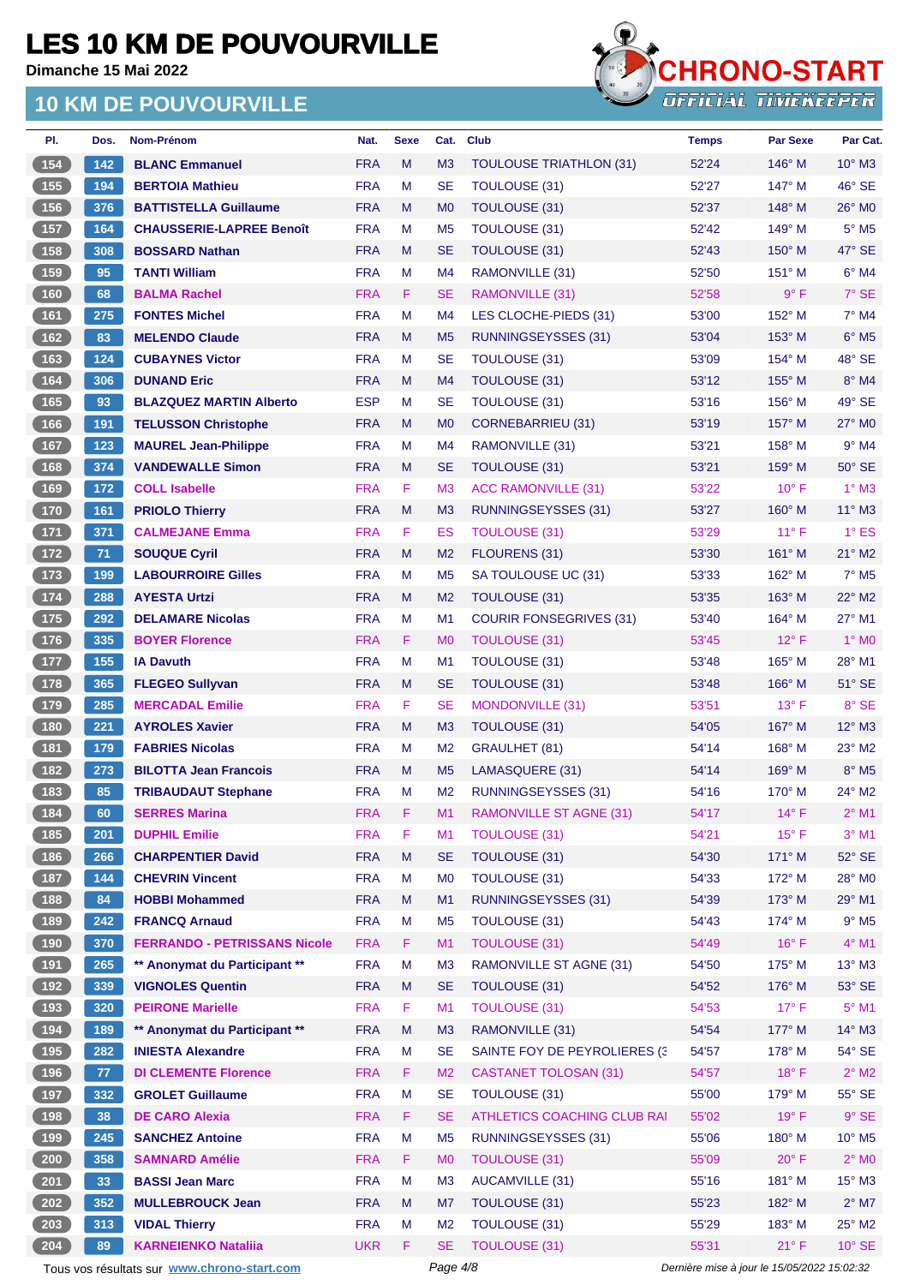**Dimanche 15 Mai 2022**



| PI.   | Dos. | Nom-Prénom                                  | Nat.       | <b>Sexe</b> | Cat.           | <b>Club</b>                    | <b>Temps</b> | <b>Par Sexe</b>                             | Par Cat.                    |
|-------|------|---------------------------------------------|------------|-------------|----------------|--------------------------------|--------------|---------------------------------------------|-----------------------------|
| 154   | 142  | <b>BLANC Emmanuel</b>                       | <b>FRA</b> | M           | M <sub>3</sub> | <b>TOULOUSE TRIATHLON (31)</b> | 52'24        | $146^\circ$ M                               | $10^{\circ}$ M3             |
| 155   | 194  | <b>BERTOIA Mathieu</b>                      | <b>FRA</b> | M           | <b>SE</b>      | <b>TOULOUSE (31)</b>           | 52'27        | 147° M                                      | $46^\circ$ SE               |
| 156   | 376  | <b>BATTISTELLA Guillaume</b>                | <b>FRA</b> | M           | M <sub>0</sub> | <b>TOULOUSE (31)</b>           | 52'37        | $148^\circ$ M                               | 26° MO                      |
| 157   | 164  | <b>CHAUSSERIE-LAPREE Benoît</b>             | <b>FRA</b> | M           | M <sub>5</sub> | <b>TOULOUSE (31)</b>           | 52'42        | 149° M                                      | $5^\circ$ M5                |
| 158   | 308  | <b>BOSSARD Nathan</b>                       | <b>FRA</b> | M           | SE             | <b>TOULOUSE (31)</b>           | 52'43        | $150^\circ$ M                               | 47° SE                      |
| 159   | 95   | <b>TANTI William</b>                        | <b>FRA</b> | M           | M4             | RAMONVILLE (31)                | 52'50        | $151^\circ$ M                               | $6°$ M4                     |
| 160   | 68   | <b>BALMA Rachel</b>                         | <b>FRA</b> | F           | <b>SE</b>      | RAMONVILLE (31)                | 52'58        | 9° F                                        | 7° SE                       |
| 161   | 275  | <b>FONTES Michel</b>                        | <b>FRA</b> | M           | M4             | LES CLOCHE-PIEDS (31)          | 53'00        | 152° M                                      | $7°$ M4                     |
| 162   | 83   | <b>MELENDO Claude</b>                       | <b>FRA</b> | M           | M5             | RUNNINGSEYSSES (31)            | 53'04        | 153° M                                      | $6^\circ$ M5                |
| 163   | 124  | <b>CUBAYNES Victor</b>                      | <b>FRA</b> | M           | SE             | <b>TOULOUSE (31)</b>           | 53'09        | $154^\circ$ M                               | 48° SE                      |
| 164   | 306  | <b>DUNAND Eric</b>                          | <b>FRA</b> | M           | M <sub>4</sub> | <b>TOULOUSE (31)</b>           | 53'12        | $155^{\circ}$ M                             | 8° M4                       |
| 165   | 93   | <b>BLAZQUEZ MARTIN Alberto</b>              | <b>ESP</b> | M           | <b>SE</b>      | <b>TOULOUSE (31)</b>           | 53'16        | 156° M                                      | 49° SE                      |
| 166   | 191  | <b>TELUSSON Christophe</b>                  | <b>FRA</b> | M           | M <sub>0</sub> | <b>CORNEBARRIEU (31)</b>       | 53'19        | 157° M                                      | 27° M0                      |
| 167   | 123  | <b>MAUREL Jean-Philippe</b>                 | <b>FRA</b> | м           | M4             | RAMONVILLE (31)                | 53'21        | $158^\circ$ M                               | $9°$ M4                     |
| 168   | 374  |                                             | <b>FRA</b> | M           | SE             | <b>TOULOUSE (31)</b>           | 53'21        | 159° M                                      | $50^\circ$ SE               |
| 169   |      | <b>VANDEWALLE Simon</b>                     | <b>FRA</b> | F           |                |                                |              |                                             | $1^\circ$ M3                |
|       | 172  | <b>COLL Isabelle</b>                        |            |             | M <sub>3</sub> | <b>ACC RAMONVILLE (31)</b>     | 53'22        | $10^{\circ}$ F                              |                             |
| 170   | 161  | <b>PRIOLO Thierry</b>                       | <b>FRA</b> | M           | M <sub>3</sub> | <b>RUNNINGSEYSSES (31)</b>     | 53'27        | $160^\circ$ M                               | $11^{\circ}$ M3             |
| 171   | 371  | <b>CALMEJANE Emma</b>                       | <b>FRA</b> | F           | ES             | <b>TOULOUSE (31)</b>           | 53'29        | $11^{\circ}$ F                              | $1^\circ$ ES                |
| (172) | 71   | <b>SOUQUE Cyril</b>                         | <b>FRA</b> | M           | M <sub>2</sub> | FLOURENS (31)                  | 53'30        | 161° M                                      | $21^{\circ}$ M2             |
| 173   | 199  | <b>LABOURROIRE Gilles</b>                   | <b>FRA</b> | М           | M <sub>5</sub> | SA TOULOUSE UC (31)            | 53'33        | 162° M                                      | $7^\circ$ M <sub>5</sub>    |
| 174   | 288  | <b>AYESTA Urtzi</b>                         | <b>FRA</b> | M           | M <sub>2</sub> | <b>TOULOUSE (31)</b>           | 53'35        | $163^\circ$ M                               | 22° M2                      |
| $175$ | 292  | <b>DELAMARE Nicolas</b>                     | <b>FRA</b> | M           | M <sub>1</sub> | <b>COURIR FONSEGRIVES (31)</b> | 53'40        | $164^\circ$ M                               | 27° M1                      |
| $176$ | 335  | <b>BOYER Florence</b>                       | <b>FRA</b> | F           | M <sub>0</sub> | <b>TOULOUSE (31)</b>           | 53'45        | $12^{\circ}$ F                              | $1^\circ$ MO                |
| 177   | 155  | <b>IA Davuth</b>                            | <b>FRA</b> | M           | M1             | <b>TOULOUSE (31)</b>           | 53'48        | 165° M                                      | 28° M1                      |
| 178   | 365  | <b>FLEGEO Sullyvan</b>                      | <b>FRA</b> | M           | <b>SE</b>      | TOULOUSE (31)                  | 53'48        | $166^\circ$ M                               | $51^\circ$ SE               |
| 179   | 285  | <b>MERCADAL Emilie</b>                      | <b>FRA</b> | F           | <b>SE</b>      | <b>MONDONVILLE (31)</b>        | 53'51        | $13^{\circ}$ F                              | 8° SE                       |
| 180   | 221  | <b>AYROLES Xavier</b>                       | <b>FRA</b> | M           | M <sub>3</sub> | TOULOUSE (31)                  | 54'05        | 167° M                                      | 12° M3                      |
| 181   | 179  | <b>FABRIES Nicolas</b>                      | <b>FRA</b> | M           | M <sub>2</sub> | GRAULHET (81)                  | 54'14        | 168° M                                      | 23° M2                      |
| 182   | 273  | <b>BILOTTA Jean Francois</b>                | <b>FRA</b> | M           | M <sub>5</sub> | LAMASQUERE (31)                | 54'14        | $169^\circ$ M                               | 8° M5                       |
| 183   | 85   | <b>TRIBAUDAUT Stephane</b>                  | <b>FRA</b> | М           | M <sub>2</sub> | <b>RUNNINGSEYSSES (31)</b>     | 54'16        | 170° M                                      | 24° M2                      |
| 184   | 60   | <b>SERRES Marina</b>                        | <b>FRA</b> | F           | M1             | RAMONVILLE ST AGNE (31)        | 54'17        | $14^{\circ}$ F                              | $2^{\circ}$ M1              |
| 185   | 201  | <b>DUPHIL Emilie</b>                        | <b>FRA</b> | F           | M1             | <b>TOULOUSE (31)</b>           | 54'21        | $15^{\circ}$ F                              | $3^\circ$ M1                |
| 186   | 266  | <b>CHARPENTIER David</b>                    | <b>FRA</b> | M           | <b>SE</b>      | <b>TOULOUSE (31)</b>           | 54'30        | $171^\circ$ M                               | $52^\circ$ SE               |
| 187   | 144  | <b>CHEVRIN Vincent</b>                      | <b>FRA</b> | M           | M <sub>0</sub> | TOULOUSE (31)                  | 54'33        | 172° M                                      | 28° MO                      |
| 188   | 84   | <b>HOBBI Mohammed</b>                       | <b>FRA</b> | M           | M1             | <b>RUNNINGSEYSSES (31)</b>     | 54'39        | $173^\circ$ M                               | 29° M1                      |
| 189   | 242  | <b>FRANCQ Arnaud</b>                        | <b>FRA</b> | М           | M <sub>5</sub> | <b>TOULOUSE (31)</b>           | 54'43        | $174^\circ$ M                               | $9^\circ$ M5                |
| 190   | 370  | <b>FERRANDO - PETRISSANS Nicole</b>         | <b>FRA</b> | F           | M1             | <b>TOULOUSE (31)</b>           | 54'49        | $16^{\circ}$ F                              | 4° M1                       |
| 191   | 265  | ** Anonymat du Participant **               | <b>FRA</b> | M           | M <sub>3</sub> | RAMONVILLE ST AGNE (31)        | 54'50        | $175^\circ$ M                               | $13^\circ$ M3               |
| 192   | 339  | <b>VIGNOLES Quentin</b>                     | <b>FRA</b> | M           | <b>SE</b>      | <b>TOULOUSE (31)</b>           | 54'52        | 176° M                                      | $53^\circ$ SE               |
| 193   | 320  | <b>PEIRONE Marielle</b>                     | <b>FRA</b> | F           | M1             | <b>TOULOUSE (31)</b>           | 54'53        | $17^{\circ}$ F                              | $5^\circ$ M1                |
| 194   | 189  | ** Anonymat du Participant **               | <b>FRA</b> | M           | M <sub>3</sub> | RAMONVILLE (31)                | 54'54        | 177° M                                      | $14^{\circ}$ M3             |
| 195   | 282  | <b>INIESTA Alexandre</b>                    | <b>FRA</b> | M           | <b>SE</b>      | SAINTE FOY DE PEYROLIERES (3)  | 54'57        | 178° M                                      | $54^\circ$ SE               |
| 196   | 77   | <b>DI CLEMENTE Florence</b>                 | <b>FRA</b> | F.          | M <sub>2</sub> | <b>CASTANET TOLOSAN (31)</b>   | 54'57        | $18^{\circ}$ F                              | $2^{\circ}$ M2              |
| 197   | 332  | <b>GROLET Guillaume</b>                     | <b>FRA</b> | M           | <b>SE</b>      | TOULOUSE (31)                  | 55'00        | 179° M                                      | $55^\circ$ SE               |
| 198   | 38   | <b>DE CARO Alexia</b>                       | <b>FRA</b> | F           | <b>SE</b>      | ATHLETICS COACHING CLUB RAI    | 55'02        | $19°$ F                                     | $9°$ SE                     |
| 199   | 245  | <b>SANCHEZ Antoine</b>                      | <b>FRA</b> | M           | M <sub>5</sub> | <b>RUNNINGSEYSSES (31)</b>     | 55'06        | 180° M                                      | $10^{\circ}$ M <sub>5</sub> |
| 200   | 358  | <b>SAMNARD Amélie</b>                       | <b>FRA</b> | F           | M <sub>0</sub> | <b>TOULOUSE (31)</b>           | 55'09        | $20^{\circ}$ F                              | $2^{\circ}$ MO              |
| 201   | 33   | <b>BASSI Jean Marc</b>                      | <b>FRA</b> | М           | M <sub>3</sub> | <b>AUCAMVILLE (31)</b>         | 55'16        | 181° M                                      | $15^\circ$ M3               |
| 202   | 352  | <b>MULLEBROUCK Jean</b>                     | <b>FRA</b> | M           | M7             | <b>TOULOUSE (31)</b>           | 55'23        | 182° M                                      | $2^{\circ}$ M7              |
| 203   | 313  | <b>VIDAL Thierry</b>                        | <b>FRA</b> | М           | M <sub>2</sub> | TOULOUSE (31)                  | 55'29        | 183° M                                      | $25^\circ$ M2               |
| 204   | 89   | <b>KARNEIENKO Natalija</b>                  | <b>UKR</b> | F           | <b>SE</b>      | <b>TOULOUSE (31)</b>           | 55'31        | 21° F                                       | $10^{\circ}$ SE             |
|       |      | Tous vos résultats sur www.chrono-start.com |            |             | Page 4/8       |                                |              | Dernière mise à jour le 15/05/2022 15:02:32 |                             |
|       |      |                                             |            |             |                |                                |              |                                             |                             |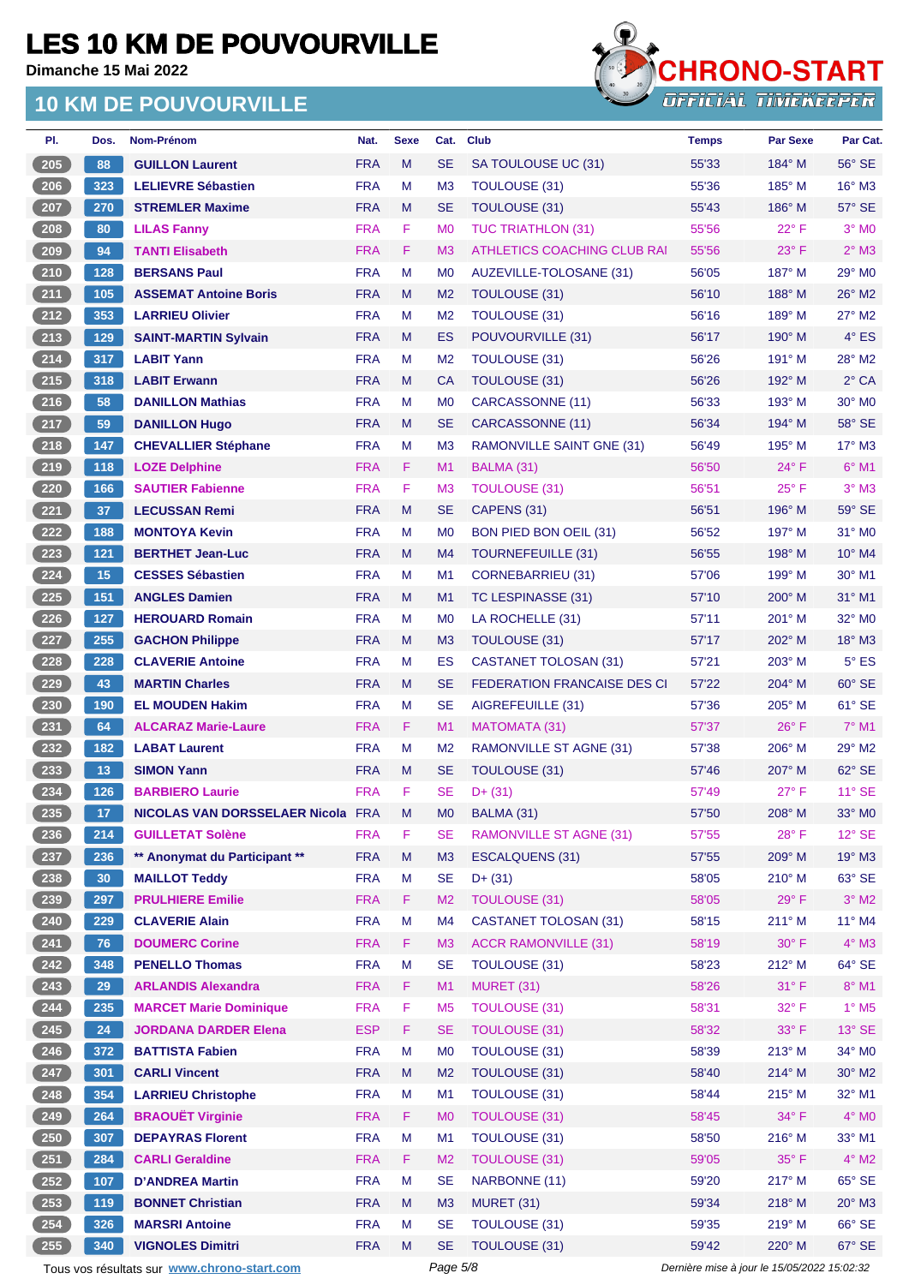**Dimanche 15 Mai 2022**



| PI. | Dos. | Nom-Prénom                                                          | Nat.       | <b>Sexe</b> | Cat.           | <b>Club</b>                                  | <b>Temps</b>                                | <b>Par Sexe</b> | Par Cat.                 |
|-----|------|---------------------------------------------------------------------|------------|-------------|----------------|----------------------------------------------|---------------------------------------------|-----------------|--------------------------|
| 205 | 88   | <b>GUILLON Laurent</b>                                              | <b>FRA</b> | M           | <b>SE</b>      | SA TOULOUSE UC (31)                          | 55'33                                       | 184° M          | 56° SE                   |
| 206 | 323  | <b>LELIEVRE Sébastien</b>                                           | <b>FRA</b> | M           | M <sub>3</sub> | <b>TOULOUSE (31)</b>                         | 55'36                                       | 185° M          | $16^\circ$ M3            |
| 207 | 270  | <b>STREMLER Maxime</b>                                              | <b>FRA</b> | M           | <b>SE</b>      | TOULOUSE (31)                                | 55'43                                       | 186° M          | 57° SE                   |
| 208 | 80   | <b>LILAS Fanny</b>                                                  | <b>FRA</b> | F.          | M <sub>0</sub> | <b>TUC TRIATHLON (31)</b>                    | 55'56                                       | $22^{\circ}$ F  | $3°$ MO                  |
| 209 | 94   | <b>TANTI Elisabeth</b>                                              | <b>FRA</b> | F.          | M <sub>3</sub> | ATHLETICS COACHING CLUB RAI                  | 55'56                                       | $23^\circ$ F    | $2^{\circ}$ M3           |
| 210 | 128  | <b>BERSANS Paul</b>                                                 | <b>FRA</b> | M           | M <sub>0</sub> | AUZEVILLE-TOLOSANE (31)                      | 56'05                                       | 187° M          | 29° M <sub>0</sub>       |
| 211 | 105  | <b>ASSEMAT Antoine Boris</b>                                        | <b>FRA</b> | M           | M <sub>2</sub> | TOULOUSE (31)                                | 56'10                                       | $188^\circ$ M   | $26^\circ$ M2            |
| 212 | 353  | <b>LARRIEU Olivier</b>                                              | <b>FRA</b> | M           | M <sub>2</sub> | <b>TOULOUSE (31)</b>                         | 56'16                                       | 189° M          | $27^\circ$ M2            |
| 213 | 129  | <b>SAINT-MARTIN Sylvain</b>                                         | <b>FRA</b> | M           | ES             | POUVOURVILLE (31)                            | 56'17                                       | $190^\circ$ M   | $4^\circ$ ES             |
| 214 | 317  | <b>LABIT Yann</b>                                                   | <b>FRA</b> | M           | M <sub>2</sub> | TOULOUSE (31)                                | 56'26                                       | 191° M          | 28° M2                   |
| 215 | 318  | <b>LABIT Erwann</b>                                                 | <b>FRA</b> | M           | <b>CA</b>      | TOULOUSE (31)                                | 56'26                                       | 192° M          | $2°$ CA                  |
| 216 | 58   | <b>DANILLON Mathias</b>                                             | <b>FRA</b> | M           | M <sub>0</sub> | CARCASSONNE (11)                             | 56'33                                       | 193° M          | 30° MO                   |
| 217 | 59   | <b>DANILLON Hugo</b>                                                | <b>FRA</b> | M           | SE             | CARCASSONNE (11)                             | 56'34                                       | $194^\circ$ M   | 58° SE                   |
| 218 | 147  | <b>CHEVALLIER Stéphane</b>                                          | <b>FRA</b> | M           | M <sub>3</sub> | <b>RAMONVILLE SAINT GNE (31)</b>             | 56'49                                       | 195° M          | $17^\circ$ M3            |
| 219 | 118  | <b>LOZE Delphine</b>                                                | <b>FRA</b> | F.          | M1             | BALMA (31)                                   | 56'50                                       | $24^{\circ}$ F  | $6^{\circ}$ M1           |
| 220 | 166  | <b>SAUTIER Fabienne</b>                                             | <b>FRA</b> | F.          | M <sub>3</sub> | <b>TOULOUSE (31)</b>                         | 56'51                                       | $25^{\circ}$ F  | $3°$ M $3$               |
| 221 | 37   | <b>LECUSSAN Remi</b>                                                | <b>FRA</b> | M           | <b>SE</b>      | CAPENS (31)                                  | 56'51                                       | 196° M          | $59^\circ$ SE            |
| 222 | 188  | <b>MONTOYA Kevin</b>                                                | <b>FRA</b> | M           | M <sub>0</sub> | BON PIED BON OEIL (31)                       | 56'52                                       | 197° M          | 31° MO                   |
| 223 | 121  | <b>BERTHET Jean-Luc</b>                                             | <b>FRA</b> | M           | M4             | TOURNEFEUILLE (31)                           | 56'55                                       | 198° M          | $10^{\circ}$ M4          |
| 224 | 15   | <b>CESSES Sébastien</b>                                             | <b>FRA</b> | M           | M <sub>1</sub> | <b>CORNEBARRIEU (31)</b>                     | 57'06                                       | $199^\circ$ M   | $30^\circ$ M1            |
| 225 | 151  | <b>ANGLES Damien</b>                                                | <b>FRA</b> | M           | M1             | TC LESPINASSE (31)                           | 57'10                                       | $200^\circ$ M   | 31° M1                   |
| 226 | 127  | <b>HEROUARD Romain</b>                                              | <b>FRA</b> | M           | M <sub>0</sub> | LA ROCHELLE (31)                             | 57'11                                       | $201^\circ$ M   | 32° MO                   |
| 227 | 255  | <b>GACHON Philippe</b>                                              | <b>FRA</b> | M           | M <sub>3</sub> | TOULOUSE (31)                                | 57'17                                       | 202° M          | 18° M3                   |
| 228 | 228  | <b>CLAVERIE Antoine</b>                                             | <b>FRA</b> | M           | ES             | <b>CASTANET TOLOSAN (31)</b>                 | 57'21                                       | $203^\circ$ M   | $5^{\circ}$ ES           |
| 229 | 43   | <b>MARTIN Charles</b>                                               | <b>FRA</b> | M           | <b>SE</b>      | <b>FEDERATION FRANCAISE DES CI</b>           | 57'22                                       | $204^\circ$ M   | $60^\circ$ SE            |
| 230 | 190  | <b>EL MOUDEN Hakim</b>                                              | <b>FRA</b> | M           | SE             | AIGREFEUILLE (31)                            | 57'36                                       | $205^\circ$ M   | $61^\circ$ SE            |
| 231 | 64   | <b>ALCARAZ Marie-Laure</b>                                          | <b>FRA</b> | F           | M1             | <b>MATOMATA (31)</b>                         | 57'37                                       | $26^{\circ}$ F  | $7°$ M1                  |
| 232 | 182  | <b>LABAT Laurent</b>                                                | <b>FRA</b> | M           | M <sub>2</sub> | <b>RAMONVILLE ST AGNE (31)</b>               | 57'38                                       | 206° M          | 29° M2                   |
| 233 | 13   | <b>SIMON Yann</b>                                                   | <b>FRA</b> | M           | <b>SE</b>      | TOULOUSE (31)                                | 57'46                                       | $207^\circ$ M   | 62° SE                   |
| 234 |      |                                                                     | <b>FRA</b> | F.          | <b>SE</b>      |                                              | 57'49                                       | $27^\circ$ F    | $11^\circ$ SE            |
|     | 126  | <b>BARBIERO Laurie</b>                                              |            |             |                | $D+$ (31)                                    |                                             | 208° M          |                          |
| 235 | 17   | <b>NICOLAS VAN DORSSELAER Nicola FRA</b><br><b>GUILLETAT Solène</b> |            | M           | M <sub>0</sub> | BALMA (31)<br><b>RAMONVILLE ST AGNE (31)</b> | 57'50                                       | $28^{\circ}$ F  | $33^\circ$ MO            |
| 236 | 214  |                                                                     | <b>FRA</b> | F.          | <b>SE</b>      |                                              | 57'55                                       |                 | $12^{\circ}$ SE          |
| 237 | 236  | ** Anonymat du Participant **                                       | <b>FRA</b> | M           | M3             | <b>ESCALQUENS (31)</b>                       | 57'55                                       | 209° M          | 19° M3                   |
| 238 | 30   | <b>MAILLOT Teddy</b>                                                | <b>FRA</b> | M           | <b>SE</b>      | $D+$ (31)                                    | 58'05                                       | 210° M          | 63° SE                   |
| 239 | 297  | <b>PRULHIERE Emilie</b>                                             | <b>FRA</b> | F.          | M <sub>2</sub> | <b>TOULOUSE (31)</b>                         | 58'05                                       | $29^{\circ}$ F  | $3^\circ$ M2             |
| 240 | 229  | <b>CLAVERIE Alain</b>                                               | <b>FRA</b> | M           | M <sub>4</sub> | <b>CASTANET TOLOSAN (31)</b>                 | 58'15                                       | 211° M          | 11° M4                   |
| 241 | 76   | <b>DOUMERC Corine</b>                                               | <b>FRA</b> | F.          | M <sub>3</sub> | <b>ACCR RAMONVILLE (31)</b>                  | 58'19                                       | $30^\circ$ F    | $4^\circ$ M3             |
| 242 | 348  | <b>PENELLO Thomas</b>                                               | <b>FRA</b> | M           | <b>SE</b>      | TOULOUSE (31)                                | 58'23                                       | 212° M          | 64° SE                   |
| 243 | 29   | <b>ARLANDIS Alexandra</b>                                           | <b>FRA</b> | F.          | M1             | MURET (31)                                   | 58'26                                       | 31° F           | $8^\circ$ M1             |
| 244 | 235  | <b>MARCET Marie Dominique</b>                                       | <b>FRA</b> | F           | M <sub>5</sub> | <b>TOULOUSE (31)</b>                         | 58'31                                       | 32° F           | $1^\circ$ M <sub>5</sub> |
| 245 | 24   | <b>JORDANA DARDER Elena</b>                                         | <b>ESP</b> | F           | <b>SE</b>      | <b>TOULOUSE (31)</b>                         | 58'32                                       | 33° F           | 13° SE                   |
| 246 | 372  | <b>BATTISTA Fabien</b>                                              | <b>FRA</b> | M           | M <sub>0</sub> | TOULOUSE (31)                                | 58'39                                       | 213° M          | 34° MO                   |
| 247 | 301  | <b>CARLI Vincent</b>                                                | <b>FRA</b> | M           | M <sub>2</sub> | TOULOUSE (31)                                | 58'40                                       | 214° M          | 30° M2                   |
| 248 | 354  | <b>LARRIEU Christophe</b>                                           | <b>FRA</b> | M           | M1             | <b>TOULOUSE (31)</b>                         | 58'44                                       | $215^\circ$ M   | 32° M1                   |
| 249 | 264  | <b>BRAOUËT Virginie</b>                                             | <b>FRA</b> | F           | M <sub>0</sub> | <b>TOULOUSE (31)</b>                         | 58'45                                       | 34° F           | $4^\circ$ MO             |
| 250 | 307  | <b>DEPAYRAS Florent</b>                                             | <b>FRA</b> | M           | M1             | TOULOUSE (31)                                | 58'50                                       | 216° M          | 33° M1                   |
| 251 | 284  | <b>CARLI Geraldine</b>                                              | <b>FRA</b> | F           | M <sub>2</sub> | <b>TOULOUSE (31)</b>                         | 59'05                                       | 35° F           | $4^\circ$ M2             |
| 252 | 107  | <b>D'ANDREA Martin</b>                                              | <b>FRA</b> | M           | <b>SE</b>      | NARBONNE (11)                                | 59'20                                       | 217° M          | 65° SE                   |
| 253 | 119  | <b>BONNET Christian</b>                                             | <b>FRA</b> | M           | M3             | MURET (31)                                   | 59'34                                       | $218^\circ$ M   | 20° M3                   |
| 254 | 326  | <b>MARSRI Antoine</b>                                               | <b>FRA</b> | M           | <b>SE</b>      | TOULOUSE (31)                                | 59'35                                       | 219° M          | $66^\circ$ SE            |
| 255 | 340  | <b>VIGNOLES Dimitri</b>                                             | <b>FRA</b> | M           | <b>SE</b>      | TOULOUSE (31)                                | 59'42                                       | 220° M          | 67° SE                   |
|     |      | Tous vos résultats sur www.chrono-start.com                         |            |             | Page 5/8       |                                              | Dernière mise à jour le 15/05/2022 15:02:32 |                 |                          |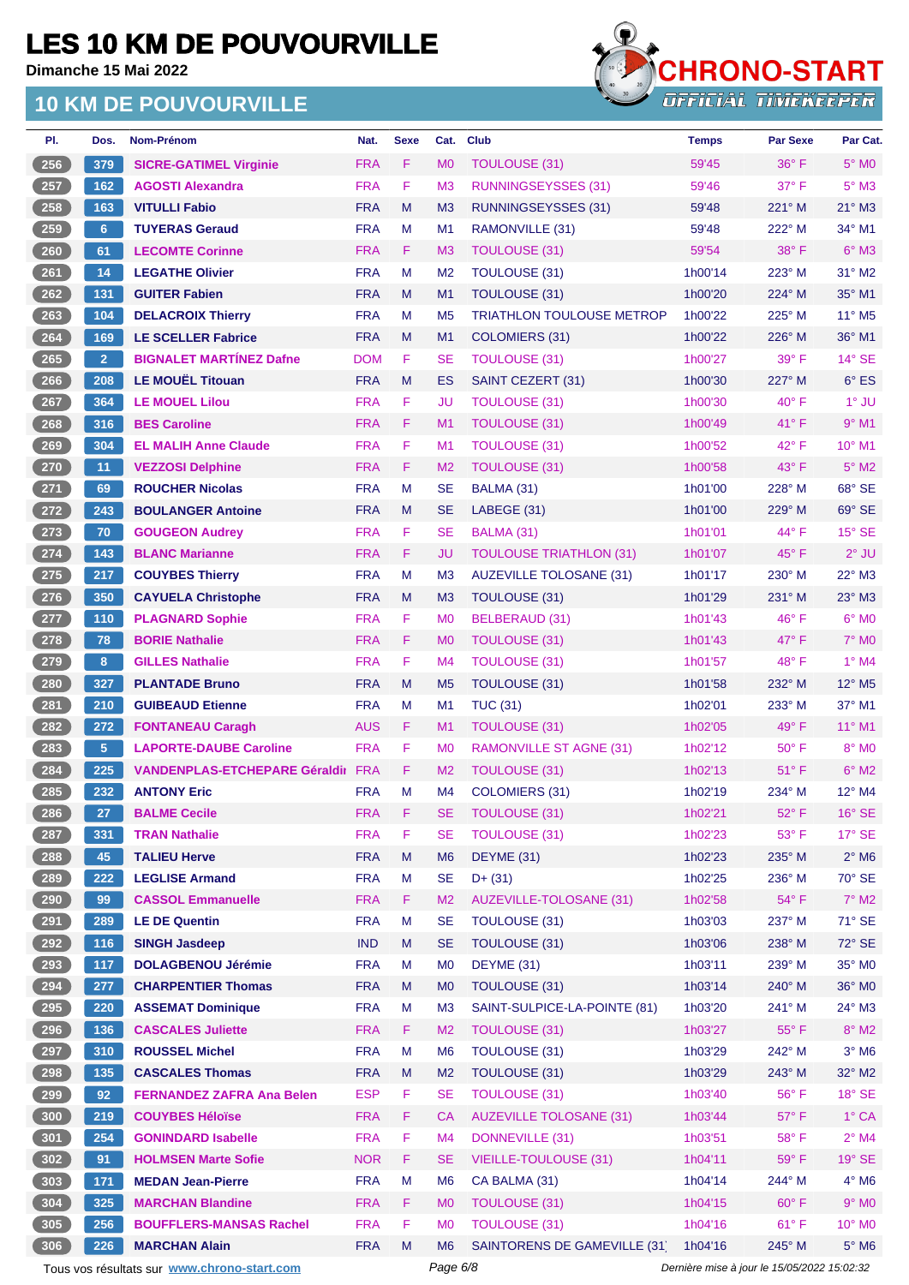**Dimanche 15 Mai 2022**

#### **10 KM DE POUVOURVILLE**



| 256<br>379<br><b>FRA</b><br>F<br>M <sub>0</sub><br>36° F<br>$5^\circ$ MO<br><b>SICRE-GATIMEL Virginie</b><br><b>TOULOUSE (31)</b><br>59'45<br>257<br><b>FRA</b><br>F<br>37° F<br>$5^\circ$ M3<br>162<br><b>AGOSTI Alexandra</b><br>M <sub>3</sub><br><b>RUNNINGSEYSSES (31)</b><br>59'46<br>258<br>163<br><b>VITULLI Fabio</b><br><b>FRA</b><br>M<br><b>RUNNINGSEYSSES (31)</b><br>59'48<br>$221^\circ$ M<br>$21^\circ$ M3<br>MЗ<br>259<br><b>FRA</b><br>59'48<br>34° M1<br>6 <sup>°</sup><br><b>TUYERAS Geraud</b><br>м<br>M1<br>RAMONVILLE (31)<br>$222^{\circ}$ M<br>260<br><b>FRA</b><br>F<br>38° F<br>$6°$ M3<br>61<br><b>LECOMTE Corinne</b><br>M <sub>3</sub><br><b>TOULOUSE (31)</b><br>59'54<br>261<br>$31^\circ$ M2<br>14<br><b>FRA</b><br>M<br>1h00'14<br>223° M<br><b>LEGATHE Olivier</b><br>M <sub>2</sub><br><b>TOULOUSE (31)</b><br>262<br>131<br><b>GUITER Fabien</b><br><b>FRA</b><br>35° M1<br>M<br>M1<br><b>TOULOUSE (31)</b><br>1h00'20<br>224° M<br>263<br>$104$<br>11° M5<br><b>DELACROIX Thierry</b><br><b>FRA</b><br>М<br><b>TRIATHLON TOULOUSE METROP</b><br>1h00'22<br>225° M<br>M <sub>5</sub><br>264<br><b>FRA</b><br>36° M1<br>169<br><b>LE SCELLER Fabrice</b><br>M<br>M1<br><b>COLOMIERS (31)</b><br>1h00'22<br>$226^\circ$ M<br>265<br><b>BIGNALET MARTÍNEZ Dafne</b><br><b>DOM</b><br>F<br><b>SE</b><br>$14^\circ$ SE<br>2 <sup>7</sup><br><b>TOULOUSE (31)</b><br>1h00'27<br>$39^\circ$ F<br><b>LE MOUËL Titouan</b><br>266<br>208<br>$6°$ ES<br><b>FRA</b><br>M<br>ES<br>SAINT CEZERT (31)<br>1h00'30<br>227° M<br>267<br>F<br>$1°$ JU<br>364<br><b>LE MOUEL Lilou</b><br><b>FRA</b><br><b>JU</b><br>1h00'30<br>$40^{\circ}$ F<br><b>TOULOUSE (31)</b><br>268<br><b>FRA</b><br>F<br>$9°$ M1<br>316<br><b>BES Caroline</b><br>M1<br><b>TOULOUSE (31)</b><br>1h00'49<br>$41^{\circ}$ F<br>F<br>269<br><b>FRA</b><br>42° F<br>10° M1<br>304<br>M <sub>1</sub><br><b>TOULOUSE (31)</b><br>1h00'52<br><b>EL MALIH Anne Claude</b><br>F<br>270<br>$5^\circ$ M2<br>11<br><b>FRA</b><br>M <sub>2</sub><br><b>TOULOUSE (31)</b><br>1h00'58<br>$43^{\circ}$ F<br><b>VEZZOSI Delphine</b><br>M<br>271<br><b>FRA</b><br><b>SE</b><br>228° M<br>68° SE<br>69<br><b>ROUCHER Nicolas</b><br>BALMA (31)<br>1h01'00<br>272<br>243<br>69° SE<br><b>BOULANGER Antoine</b><br><b>FRA</b><br>M<br><b>SE</b><br>LABEGE (31)<br>1h01'00<br>229° M<br>273<br>70<br><b>FRA</b><br>F<br><b>SE</b><br>44° F<br>$15^\circ$ SE<br><b>GOUGEON Audrey</b><br>BALMA (31)<br>1h01'01<br>274<br>143<br>F<br>$2°$ JU<br><b>BLANC Marianne</b><br><b>FRA</b><br>JU<br><b>TOULOUSE TRIATHLON (31)</b><br>1h01'07<br>$45^{\circ}$ F<br>22° M3<br>275<br><b>FRA</b><br>M<br>230° M<br>217<br>M <sub>3</sub><br><b>AUZEVILLE TOLOSANE (31)</b><br>1h01'17<br><b>COUYBES Thierry</b><br>276<br>350<br><b>FRA</b><br>23° M3<br><b>CAYUELA Christophe</b><br>M<br>M <sub>3</sub><br>TOULOUSE (31)<br>1h01'29<br>$231^\circ$ M<br>277<br>110<br><b>FRA</b><br>F<br>46°F<br>$6°$ MO<br><b>PLAGNARD Sophie</b><br>M <sub>0</sub><br>BELBERAUD (31)<br>1h01'43<br>F<br>278<br><b>FRA</b><br>47° F<br><b>7° MO</b><br>78<br><b>BORIE Nathalie</b><br>M <sub>0</sub><br><b>TOULOUSE (31)</b><br>1h01'43<br>279<br>F<br>48°F<br>$1^\circ$ M4<br>8 <sup>°</sup><br><b>GILLES Nathalie</b><br><b>FRA</b><br>M4<br><b>TOULOUSE (31)</b><br>1h01'57<br>280<br><b>FRA</b><br>M<br>327<br>TOULOUSE (31)<br>232° M<br>12° M5<br><b>PLANTADE Bruno</b><br>M <sub>5</sub><br>1h01'58<br>281<br>210<br>1h02'01<br>37° M1<br><b>GUIBEAUD Etienne</b><br><b>FRA</b><br>М<br>M1<br><b>TUC (31)</b><br>$233^\circ$ M<br>282<br>272<br>F.<br>49° F<br>11° M1<br><b>AUS</b><br>M1<br>1h02'05<br><b>FONTANEAU Caragh</b><br><b>TOULOUSE (31)</b><br>F<br>283<br>5 <sup>5</sup><br><b>FRA</b><br>$50^\circ$ F<br>8° MO<br><b>LAPORTE-DAUBE Caroline</b><br>M <sub>0</sub><br><b>RAMONVILLE ST AGNE (31)</b><br>1h02'12<br>284<br>225<br>F<br>$6^\circ$ M2<br><b>VANDENPLAS-ETCHEPARE Géraldir</b><br><b>FRA</b><br>M <sub>2</sub><br><b>TOULOUSE (31)</b><br>1h02'13<br>$51^{\circ}$ F<br>232<br>M<br>12° M4<br>285<br><b>FRA</b><br>M4<br><b>COLOMIERS (31)</b><br>234° M<br><b>ANTONY Eric</b><br>1h02'19<br>286<br>27<br><b>FRA</b><br>F<br><b>SE</b><br>1h02'21<br>52° F<br>$16°$ SE<br>TOULOUSE (31)<br><b>BALME Cecile</b><br>287<br>1h02'23<br>53° F<br>$17^\circ$ SE<br>331<br><b>TRAN Nathalie</b><br><b>FRA</b><br>F<br><b>SE</b><br><b>TOULOUSE (31)</b><br>288<br>45<br><b>TALIEU Herve</b><br>${\sf M}$<br>DEYME (31)<br><b>FRA</b><br>M <sub>6</sub><br>1h02'23<br>235° M<br>$2^\circ$ M6<br>289<br>222<br><b>LEGLISE Armand</b><br><b>FRA</b><br>M<br><b>SE</b><br>236° M<br>70° SE<br>$D+ (31)$<br>1h02'25<br>290<br><b>CASSOL Emmanuelle</b><br><b>FRA</b><br>F<br>M <sub>2</sub><br>AUZEVILLE-TOLOSANE (31)<br>1h02'58<br>$54^{\circ}$ F<br>$7^\circ$ M2<br>99<br>291<br>289<br><b>SE</b><br>237° M<br>71° SE<br><b>LE DE Quentin</b><br><b>FRA</b><br>М<br>TOULOUSE (31)<br>1h03'03<br>292<br>116<br>72° SE<br><b>SINGH Jasdeep</b><br><b>IND</b><br>M<br><b>SE</b><br><b>TOULOUSE (31)</b><br>1h03'06<br>238° M<br>293<br>M <sub>0</sub><br>$117$<br><b>DOLAGBENOU Jérémie</b><br><b>FRA</b><br>М<br>DEYME (31)<br>239° M<br>35° MO<br>1h03'11<br>294<br>277<br><b>TOULOUSE (31)</b><br>36° MO<br><b>CHARPENTIER Thomas</b><br><b>FRA</b><br>M<br>M <sub>0</sub><br>1h03'14<br>240° M<br>295<br>220<br><b>ASSEMAT Dominique</b><br><b>FRA</b><br>241° M<br>24° M3<br>M<br>M <sub>3</sub><br>SAINT-SULPICE-LA-POINTE (81)<br>1h03'20<br>296<br>136<br><b>CASCALES Juliette</b><br><b>FRA</b><br>F.<br>M <sub>2</sub><br>$55^{\circ}$ F<br>$8^\circ$ M2<br>TOULOUSE (31)<br>1h03'27<br>297<br>M<br>242° M<br>$3^\circ$ M6<br>310<br><b>ROUSSEL Michel</b><br><b>FRA</b><br>M <sub>6</sub><br><b>TOULOUSE (31)</b><br>1h03'29<br>298<br>135<br><b>CASCALES Thomas</b><br><b>FRA</b><br>M<br>M <sub>2</sub><br>TOULOUSE (31)<br>243° M<br>$32^\circ$ M2<br>1h03'29<br>299<br>92<br>F<br><b>SE</b><br><b>TOULOUSE (31)</b><br><b>FERNANDEZ ZAFRA Ana Belen</b><br><b>ESP</b><br>1h03'40<br>$56^{\circ}$ F<br>$18°$ SE<br>300<br>219<br><b>COUYBES Héloïse</b><br>F<br><b>CA</b><br><b>AUZEVILLE TOLOSANE (31)</b><br>57°F<br>1° CA<br><b>FRA</b><br>1h03'44<br>F<br><b>DONNEVILLE (31)</b><br>301<br>254<br><b>GONINDARD Isabelle</b><br><b>FRA</b><br>M4<br>1h03'51<br>$58^{\circ}$ F<br>$2^{\circ}$ M4<br>302<br>F<br>19° SE<br>91<br><b>NOR</b><br><b>SE</b><br><b>VIEILLE-TOULOUSE (31)</b><br>1h04'11<br>59°F<br><b>HOLMSEN Marte Sofie</b><br>303<br>171<br>244° M<br>$4^\circ$ M6<br><b>MEDAN Jean-Pierre</b><br><b>FRA</b><br>M<br>M <sub>6</sub><br>CA BALMA (31)<br>1h04'14<br>304<br>F<br>$9^\circ$ MO<br>325<br><b>MARCHAN Blandine</b><br><b>FRA</b><br>M <sub>0</sub><br><b>TOULOUSE (31)</b><br>1h04'15<br>$60^\circ$ F<br>305<br>256<br>F<br><b>TOULOUSE (31)</b><br>$61^{\circ}$ F<br>10° MO<br><b>BOUFFLERS-MANSAS Rachel</b><br><b>FRA</b><br>M <sub>0</sub><br>1h04'16<br>M<br>$5^\circ$ M6<br>M <sub>6</sub><br>1h04'16<br>245° M | PI. | Dos. | Nom-Prénom           | Nat.       | <b>Sexe</b> | Cat. | <b>Club</b>                  | <b>Temps</b> | <b>Par Sexe</b> | Par Cat. |
|--------------------------------------------------------------------------------------------------------------------------------------------------------------------------------------------------------------------------------------------------------------------------------------------------------------------------------------------------------------------------------------------------------------------------------------------------------------------------------------------------------------------------------------------------------------------------------------------------------------------------------------------------------------------------------------------------------------------------------------------------------------------------------------------------------------------------------------------------------------------------------------------------------------------------------------------------------------------------------------------------------------------------------------------------------------------------------------------------------------------------------------------------------------------------------------------------------------------------------------------------------------------------------------------------------------------------------------------------------------------------------------------------------------------------------------------------------------------------------------------------------------------------------------------------------------------------------------------------------------------------------------------------------------------------------------------------------------------------------------------------------------------------------------------------------------------------------------------------------------------------------------------------------------------------------------------------------------------------------------------------------------------------------------------------------------------------------------------------------------------------------------------------------------------------------------------------------------------------------------------------------------------------------------------------------------------------------------------------------------------------------------------------------------------------------------------------------------------------------------------------------------------------------------------------------------------------------------------------------------------------------------------------------------------------------------------------------------------------------------------------------------------------------------------------------------------------------------------------------------------------------------------------------------------------------------------------------------------------------------------------------------------------------------------------------------------------------------------------------------------------------------------------------------------------------------------------------------------------------------------------------------------------------------------------------------------------------------------------------------------------------------------------------------------------------------------------------------------------------------------------------------------------------------------------------------------------------------------------------------------------------------------------------------------------------------------------------------------------------------------------------------------------------------------------------------------------------------------------------------------------------------------------------------------------------------------------------------------------------------------------------------------------------------------------------------------------------------------------------------------------------------------------------------------------------------------------------------------------------------------------------------------------------------------------------------------------------------------------------------------------------------------------------------------------------------------------------------------------------------------------------------------------------------------------------------------------------------------------------------------------------------------------------------------------------------------------------------------------------------------------------------------------------------------------------------------------------------------------------------------------------------------------------------------------------------------------------------------------------------------------------------------------------------------------------------------------------------------------------------------------------------------------------------------------------------------------------------------------------------------------------------------------------------------------------------------------------------------------------------------------------------------------------------------------------------------------------------------------------------------------------------------------------------------------------------------------------------------------------------------------------------------------------------------------------------------------------------------------------------------------------------------------------------------------------------------------------------------------------------------------------------------------------------------------------------------------------------------------------------------------------------------------------------------------------------------------------------------------------------------------------------------------------------------------------------------------------------------------------------------------------------------------------------------------------------------------------------------------------------------------------------------------------------------------------------------------------------------------------------------------------------------------------------------------------------------------------------------------------------------------------------------------------------------------------------------------------------------------------------------------------------------------------------------------------------------------------------------------------------------------------------------------------------------------------------------------------------------------------------------------------------------------------------|-----|------|----------------------|------------|-------------|------|------------------------------|--------------|-----------------|----------|
|                                                                                                                                                                                                                                                                                                                                                                                                                                                                                                                                                                                                                                                                                                                                                                                                                                                                                                                                                                                                                                                                                                                                                                                                                                                                                                                                                                                                                                                                                                                                                                                                                                                                                                                                                                                                                                                                                                                                                                                                                                                                                                                                                                                                                                                                                                                                                                                                                                                                                                                                                                                                                                                                                                                                                                                                                                                                                                                                                                                                                                                                                                                                                                                                                                                                                                                                                                                                                                                                                                                                                                                                                                                                                                                                                                                                                                                                                                                                                                                                                                                                                                                                                                                                                                                                                                                                                                                                                                                                                                                                                                                                                                                                                                                                                                                                                                                                                                                                                                                                                                                                                                                                                                                                                                                                                                                                                                                                                                                                                                                                                                                                                                                                                                                                                                                                                                                                                                                                                                                                                                                                                                                                                                                                                                                                                                                                                                                                                                                                                                                                                                                                                                                                                                                                                                                                                                                                                                                                                                                                                                      |     |      |                      |            |             |      |                              |              |                 |          |
|                                                                                                                                                                                                                                                                                                                                                                                                                                                                                                                                                                                                                                                                                                                                                                                                                                                                                                                                                                                                                                                                                                                                                                                                                                                                                                                                                                                                                                                                                                                                                                                                                                                                                                                                                                                                                                                                                                                                                                                                                                                                                                                                                                                                                                                                                                                                                                                                                                                                                                                                                                                                                                                                                                                                                                                                                                                                                                                                                                                                                                                                                                                                                                                                                                                                                                                                                                                                                                                                                                                                                                                                                                                                                                                                                                                                                                                                                                                                                                                                                                                                                                                                                                                                                                                                                                                                                                                                                                                                                                                                                                                                                                                                                                                                                                                                                                                                                                                                                                                                                                                                                                                                                                                                                                                                                                                                                                                                                                                                                                                                                                                                                                                                                                                                                                                                                                                                                                                                                                                                                                                                                                                                                                                                                                                                                                                                                                                                                                                                                                                                                                                                                                                                                                                                                                                                                                                                                                                                                                                                                                      |     |      |                      |            |             |      |                              |              |                 |          |
|                                                                                                                                                                                                                                                                                                                                                                                                                                                                                                                                                                                                                                                                                                                                                                                                                                                                                                                                                                                                                                                                                                                                                                                                                                                                                                                                                                                                                                                                                                                                                                                                                                                                                                                                                                                                                                                                                                                                                                                                                                                                                                                                                                                                                                                                                                                                                                                                                                                                                                                                                                                                                                                                                                                                                                                                                                                                                                                                                                                                                                                                                                                                                                                                                                                                                                                                                                                                                                                                                                                                                                                                                                                                                                                                                                                                                                                                                                                                                                                                                                                                                                                                                                                                                                                                                                                                                                                                                                                                                                                                                                                                                                                                                                                                                                                                                                                                                                                                                                                                                                                                                                                                                                                                                                                                                                                                                                                                                                                                                                                                                                                                                                                                                                                                                                                                                                                                                                                                                                                                                                                                                                                                                                                                                                                                                                                                                                                                                                                                                                                                                                                                                                                                                                                                                                                                                                                                                                                                                                                                                                      |     |      |                      |            |             |      |                              |              |                 |          |
|                                                                                                                                                                                                                                                                                                                                                                                                                                                                                                                                                                                                                                                                                                                                                                                                                                                                                                                                                                                                                                                                                                                                                                                                                                                                                                                                                                                                                                                                                                                                                                                                                                                                                                                                                                                                                                                                                                                                                                                                                                                                                                                                                                                                                                                                                                                                                                                                                                                                                                                                                                                                                                                                                                                                                                                                                                                                                                                                                                                                                                                                                                                                                                                                                                                                                                                                                                                                                                                                                                                                                                                                                                                                                                                                                                                                                                                                                                                                                                                                                                                                                                                                                                                                                                                                                                                                                                                                                                                                                                                                                                                                                                                                                                                                                                                                                                                                                                                                                                                                                                                                                                                                                                                                                                                                                                                                                                                                                                                                                                                                                                                                                                                                                                                                                                                                                                                                                                                                                                                                                                                                                                                                                                                                                                                                                                                                                                                                                                                                                                                                                                                                                                                                                                                                                                                                                                                                                                                                                                                                                                      |     |      |                      |            |             |      |                              |              |                 |          |
|                                                                                                                                                                                                                                                                                                                                                                                                                                                                                                                                                                                                                                                                                                                                                                                                                                                                                                                                                                                                                                                                                                                                                                                                                                                                                                                                                                                                                                                                                                                                                                                                                                                                                                                                                                                                                                                                                                                                                                                                                                                                                                                                                                                                                                                                                                                                                                                                                                                                                                                                                                                                                                                                                                                                                                                                                                                                                                                                                                                                                                                                                                                                                                                                                                                                                                                                                                                                                                                                                                                                                                                                                                                                                                                                                                                                                                                                                                                                                                                                                                                                                                                                                                                                                                                                                                                                                                                                                                                                                                                                                                                                                                                                                                                                                                                                                                                                                                                                                                                                                                                                                                                                                                                                                                                                                                                                                                                                                                                                                                                                                                                                                                                                                                                                                                                                                                                                                                                                                                                                                                                                                                                                                                                                                                                                                                                                                                                                                                                                                                                                                                                                                                                                                                                                                                                                                                                                                                                                                                                                                                      |     |      |                      |            |             |      |                              |              |                 |          |
|                                                                                                                                                                                                                                                                                                                                                                                                                                                                                                                                                                                                                                                                                                                                                                                                                                                                                                                                                                                                                                                                                                                                                                                                                                                                                                                                                                                                                                                                                                                                                                                                                                                                                                                                                                                                                                                                                                                                                                                                                                                                                                                                                                                                                                                                                                                                                                                                                                                                                                                                                                                                                                                                                                                                                                                                                                                                                                                                                                                                                                                                                                                                                                                                                                                                                                                                                                                                                                                                                                                                                                                                                                                                                                                                                                                                                                                                                                                                                                                                                                                                                                                                                                                                                                                                                                                                                                                                                                                                                                                                                                                                                                                                                                                                                                                                                                                                                                                                                                                                                                                                                                                                                                                                                                                                                                                                                                                                                                                                                                                                                                                                                                                                                                                                                                                                                                                                                                                                                                                                                                                                                                                                                                                                                                                                                                                                                                                                                                                                                                                                                                                                                                                                                                                                                                                                                                                                                                                                                                                                                                      |     |      |                      |            |             |      |                              |              |                 |          |
|                                                                                                                                                                                                                                                                                                                                                                                                                                                                                                                                                                                                                                                                                                                                                                                                                                                                                                                                                                                                                                                                                                                                                                                                                                                                                                                                                                                                                                                                                                                                                                                                                                                                                                                                                                                                                                                                                                                                                                                                                                                                                                                                                                                                                                                                                                                                                                                                                                                                                                                                                                                                                                                                                                                                                                                                                                                                                                                                                                                                                                                                                                                                                                                                                                                                                                                                                                                                                                                                                                                                                                                                                                                                                                                                                                                                                                                                                                                                                                                                                                                                                                                                                                                                                                                                                                                                                                                                                                                                                                                                                                                                                                                                                                                                                                                                                                                                                                                                                                                                                                                                                                                                                                                                                                                                                                                                                                                                                                                                                                                                                                                                                                                                                                                                                                                                                                                                                                                                                                                                                                                                                                                                                                                                                                                                                                                                                                                                                                                                                                                                                                                                                                                                                                                                                                                                                                                                                                                                                                                                                                      |     |      |                      |            |             |      |                              |              |                 |          |
|                                                                                                                                                                                                                                                                                                                                                                                                                                                                                                                                                                                                                                                                                                                                                                                                                                                                                                                                                                                                                                                                                                                                                                                                                                                                                                                                                                                                                                                                                                                                                                                                                                                                                                                                                                                                                                                                                                                                                                                                                                                                                                                                                                                                                                                                                                                                                                                                                                                                                                                                                                                                                                                                                                                                                                                                                                                                                                                                                                                                                                                                                                                                                                                                                                                                                                                                                                                                                                                                                                                                                                                                                                                                                                                                                                                                                                                                                                                                                                                                                                                                                                                                                                                                                                                                                                                                                                                                                                                                                                                                                                                                                                                                                                                                                                                                                                                                                                                                                                                                                                                                                                                                                                                                                                                                                                                                                                                                                                                                                                                                                                                                                                                                                                                                                                                                                                                                                                                                                                                                                                                                                                                                                                                                                                                                                                                                                                                                                                                                                                                                                                                                                                                                                                                                                                                                                                                                                                                                                                                                                                      |     |      |                      |            |             |      |                              |              |                 |          |
|                                                                                                                                                                                                                                                                                                                                                                                                                                                                                                                                                                                                                                                                                                                                                                                                                                                                                                                                                                                                                                                                                                                                                                                                                                                                                                                                                                                                                                                                                                                                                                                                                                                                                                                                                                                                                                                                                                                                                                                                                                                                                                                                                                                                                                                                                                                                                                                                                                                                                                                                                                                                                                                                                                                                                                                                                                                                                                                                                                                                                                                                                                                                                                                                                                                                                                                                                                                                                                                                                                                                                                                                                                                                                                                                                                                                                                                                                                                                                                                                                                                                                                                                                                                                                                                                                                                                                                                                                                                                                                                                                                                                                                                                                                                                                                                                                                                                                                                                                                                                                                                                                                                                                                                                                                                                                                                                                                                                                                                                                                                                                                                                                                                                                                                                                                                                                                                                                                                                                                                                                                                                                                                                                                                                                                                                                                                                                                                                                                                                                                                                                                                                                                                                                                                                                                                                                                                                                                                                                                                                                                      |     |      |                      |            |             |      |                              |              |                 |          |
|                                                                                                                                                                                                                                                                                                                                                                                                                                                                                                                                                                                                                                                                                                                                                                                                                                                                                                                                                                                                                                                                                                                                                                                                                                                                                                                                                                                                                                                                                                                                                                                                                                                                                                                                                                                                                                                                                                                                                                                                                                                                                                                                                                                                                                                                                                                                                                                                                                                                                                                                                                                                                                                                                                                                                                                                                                                                                                                                                                                                                                                                                                                                                                                                                                                                                                                                                                                                                                                                                                                                                                                                                                                                                                                                                                                                                                                                                                                                                                                                                                                                                                                                                                                                                                                                                                                                                                                                                                                                                                                                                                                                                                                                                                                                                                                                                                                                                                                                                                                                                                                                                                                                                                                                                                                                                                                                                                                                                                                                                                                                                                                                                                                                                                                                                                                                                                                                                                                                                                                                                                                                                                                                                                                                                                                                                                                                                                                                                                                                                                                                                                                                                                                                                                                                                                                                                                                                                                                                                                                                                                      |     |      |                      |            |             |      |                              |              |                 |          |
|                                                                                                                                                                                                                                                                                                                                                                                                                                                                                                                                                                                                                                                                                                                                                                                                                                                                                                                                                                                                                                                                                                                                                                                                                                                                                                                                                                                                                                                                                                                                                                                                                                                                                                                                                                                                                                                                                                                                                                                                                                                                                                                                                                                                                                                                                                                                                                                                                                                                                                                                                                                                                                                                                                                                                                                                                                                                                                                                                                                                                                                                                                                                                                                                                                                                                                                                                                                                                                                                                                                                                                                                                                                                                                                                                                                                                                                                                                                                                                                                                                                                                                                                                                                                                                                                                                                                                                                                                                                                                                                                                                                                                                                                                                                                                                                                                                                                                                                                                                                                                                                                                                                                                                                                                                                                                                                                                                                                                                                                                                                                                                                                                                                                                                                                                                                                                                                                                                                                                                                                                                                                                                                                                                                                                                                                                                                                                                                                                                                                                                                                                                                                                                                                                                                                                                                                                                                                                                                                                                                                                                      |     |      |                      |            |             |      |                              |              |                 |          |
|                                                                                                                                                                                                                                                                                                                                                                                                                                                                                                                                                                                                                                                                                                                                                                                                                                                                                                                                                                                                                                                                                                                                                                                                                                                                                                                                                                                                                                                                                                                                                                                                                                                                                                                                                                                                                                                                                                                                                                                                                                                                                                                                                                                                                                                                                                                                                                                                                                                                                                                                                                                                                                                                                                                                                                                                                                                                                                                                                                                                                                                                                                                                                                                                                                                                                                                                                                                                                                                                                                                                                                                                                                                                                                                                                                                                                                                                                                                                                                                                                                                                                                                                                                                                                                                                                                                                                                                                                                                                                                                                                                                                                                                                                                                                                                                                                                                                                                                                                                                                                                                                                                                                                                                                                                                                                                                                                                                                                                                                                                                                                                                                                                                                                                                                                                                                                                                                                                                                                                                                                                                                                                                                                                                                                                                                                                                                                                                                                                                                                                                                                                                                                                                                                                                                                                                                                                                                                                                                                                                                                                      |     |      |                      |            |             |      |                              |              |                 |          |
|                                                                                                                                                                                                                                                                                                                                                                                                                                                                                                                                                                                                                                                                                                                                                                                                                                                                                                                                                                                                                                                                                                                                                                                                                                                                                                                                                                                                                                                                                                                                                                                                                                                                                                                                                                                                                                                                                                                                                                                                                                                                                                                                                                                                                                                                                                                                                                                                                                                                                                                                                                                                                                                                                                                                                                                                                                                                                                                                                                                                                                                                                                                                                                                                                                                                                                                                                                                                                                                                                                                                                                                                                                                                                                                                                                                                                                                                                                                                                                                                                                                                                                                                                                                                                                                                                                                                                                                                                                                                                                                                                                                                                                                                                                                                                                                                                                                                                                                                                                                                                                                                                                                                                                                                                                                                                                                                                                                                                                                                                                                                                                                                                                                                                                                                                                                                                                                                                                                                                                                                                                                                                                                                                                                                                                                                                                                                                                                                                                                                                                                                                                                                                                                                                                                                                                                                                                                                                                                                                                                                                                      |     |      |                      |            |             |      |                              |              |                 |          |
|                                                                                                                                                                                                                                                                                                                                                                                                                                                                                                                                                                                                                                                                                                                                                                                                                                                                                                                                                                                                                                                                                                                                                                                                                                                                                                                                                                                                                                                                                                                                                                                                                                                                                                                                                                                                                                                                                                                                                                                                                                                                                                                                                                                                                                                                                                                                                                                                                                                                                                                                                                                                                                                                                                                                                                                                                                                                                                                                                                                                                                                                                                                                                                                                                                                                                                                                                                                                                                                                                                                                                                                                                                                                                                                                                                                                                                                                                                                                                                                                                                                                                                                                                                                                                                                                                                                                                                                                                                                                                                                                                                                                                                                                                                                                                                                                                                                                                                                                                                                                                                                                                                                                                                                                                                                                                                                                                                                                                                                                                                                                                                                                                                                                                                                                                                                                                                                                                                                                                                                                                                                                                                                                                                                                                                                                                                                                                                                                                                                                                                                                                                                                                                                                                                                                                                                                                                                                                                                                                                                                                                      |     |      |                      |            |             |      |                              |              |                 |          |
|                                                                                                                                                                                                                                                                                                                                                                                                                                                                                                                                                                                                                                                                                                                                                                                                                                                                                                                                                                                                                                                                                                                                                                                                                                                                                                                                                                                                                                                                                                                                                                                                                                                                                                                                                                                                                                                                                                                                                                                                                                                                                                                                                                                                                                                                                                                                                                                                                                                                                                                                                                                                                                                                                                                                                                                                                                                                                                                                                                                                                                                                                                                                                                                                                                                                                                                                                                                                                                                                                                                                                                                                                                                                                                                                                                                                                                                                                                                                                                                                                                                                                                                                                                                                                                                                                                                                                                                                                                                                                                                                                                                                                                                                                                                                                                                                                                                                                                                                                                                                                                                                                                                                                                                                                                                                                                                                                                                                                                                                                                                                                                                                                                                                                                                                                                                                                                                                                                                                                                                                                                                                                                                                                                                                                                                                                                                                                                                                                                                                                                                                                                                                                                                                                                                                                                                                                                                                                                                                                                                                                                      |     |      |                      |            |             |      |                              |              |                 |          |
|                                                                                                                                                                                                                                                                                                                                                                                                                                                                                                                                                                                                                                                                                                                                                                                                                                                                                                                                                                                                                                                                                                                                                                                                                                                                                                                                                                                                                                                                                                                                                                                                                                                                                                                                                                                                                                                                                                                                                                                                                                                                                                                                                                                                                                                                                                                                                                                                                                                                                                                                                                                                                                                                                                                                                                                                                                                                                                                                                                                                                                                                                                                                                                                                                                                                                                                                                                                                                                                                                                                                                                                                                                                                                                                                                                                                                                                                                                                                                                                                                                                                                                                                                                                                                                                                                                                                                                                                                                                                                                                                                                                                                                                                                                                                                                                                                                                                                                                                                                                                                                                                                                                                                                                                                                                                                                                                                                                                                                                                                                                                                                                                                                                                                                                                                                                                                                                                                                                                                                                                                                                                                                                                                                                                                                                                                                                                                                                                                                                                                                                                                                                                                                                                                                                                                                                                                                                                                                                                                                                                                                      |     |      |                      |            |             |      |                              |              |                 |          |
|                                                                                                                                                                                                                                                                                                                                                                                                                                                                                                                                                                                                                                                                                                                                                                                                                                                                                                                                                                                                                                                                                                                                                                                                                                                                                                                                                                                                                                                                                                                                                                                                                                                                                                                                                                                                                                                                                                                                                                                                                                                                                                                                                                                                                                                                                                                                                                                                                                                                                                                                                                                                                                                                                                                                                                                                                                                                                                                                                                                                                                                                                                                                                                                                                                                                                                                                                                                                                                                                                                                                                                                                                                                                                                                                                                                                                                                                                                                                                                                                                                                                                                                                                                                                                                                                                                                                                                                                                                                                                                                                                                                                                                                                                                                                                                                                                                                                                                                                                                                                                                                                                                                                                                                                                                                                                                                                                                                                                                                                                                                                                                                                                                                                                                                                                                                                                                                                                                                                                                                                                                                                                                                                                                                                                                                                                                                                                                                                                                                                                                                                                                                                                                                                                                                                                                                                                                                                                                                                                                                                                                      |     |      |                      |            |             |      |                              |              |                 |          |
|                                                                                                                                                                                                                                                                                                                                                                                                                                                                                                                                                                                                                                                                                                                                                                                                                                                                                                                                                                                                                                                                                                                                                                                                                                                                                                                                                                                                                                                                                                                                                                                                                                                                                                                                                                                                                                                                                                                                                                                                                                                                                                                                                                                                                                                                                                                                                                                                                                                                                                                                                                                                                                                                                                                                                                                                                                                                                                                                                                                                                                                                                                                                                                                                                                                                                                                                                                                                                                                                                                                                                                                                                                                                                                                                                                                                                                                                                                                                                                                                                                                                                                                                                                                                                                                                                                                                                                                                                                                                                                                                                                                                                                                                                                                                                                                                                                                                                                                                                                                                                                                                                                                                                                                                                                                                                                                                                                                                                                                                                                                                                                                                                                                                                                                                                                                                                                                                                                                                                                                                                                                                                                                                                                                                                                                                                                                                                                                                                                                                                                                                                                                                                                                                                                                                                                                                                                                                                                                                                                                                                                      |     |      |                      |            |             |      |                              |              |                 |          |
|                                                                                                                                                                                                                                                                                                                                                                                                                                                                                                                                                                                                                                                                                                                                                                                                                                                                                                                                                                                                                                                                                                                                                                                                                                                                                                                                                                                                                                                                                                                                                                                                                                                                                                                                                                                                                                                                                                                                                                                                                                                                                                                                                                                                                                                                                                                                                                                                                                                                                                                                                                                                                                                                                                                                                                                                                                                                                                                                                                                                                                                                                                                                                                                                                                                                                                                                                                                                                                                                                                                                                                                                                                                                                                                                                                                                                                                                                                                                                                                                                                                                                                                                                                                                                                                                                                                                                                                                                                                                                                                                                                                                                                                                                                                                                                                                                                                                                                                                                                                                                                                                                                                                                                                                                                                                                                                                                                                                                                                                                                                                                                                                                                                                                                                                                                                                                                                                                                                                                                                                                                                                                                                                                                                                                                                                                                                                                                                                                                                                                                                                                                                                                                                                                                                                                                                                                                                                                                                                                                                                                                      |     |      |                      |            |             |      |                              |              |                 |          |
|                                                                                                                                                                                                                                                                                                                                                                                                                                                                                                                                                                                                                                                                                                                                                                                                                                                                                                                                                                                                                                                                                                                                                                                                                                                                                                                                                                                                                                                                                                                                                                                                                                                                                                                                                                                                                                                                                                                                                                                                                                                                                                                                                                                                                                                                                                                                                                                                                                                                                                                                                                                                                                                                                                                                                                                                                                                                                                                                                                                                                                                                                                                                                                                                                                                                                                                                                                                                                                                                                                                                                                                                                                                                                                                                                                                                                                                                                                                                                                                                                                                                                                                                                                                                                                                                                                                                                                                                                                                                                                                                                                                                                                                                                                                                                                                                                                                                                                                                                                                                                                                                                                                                                                                                                                                                                                                                                                                                                                                                                                                                                                                                                                                                                                                                                                                                                                                                                                                                                                                                                                                                                                                                                                                                                                                                                                                                                                                                                                                                                                                                                                                                                                                                                                                                                                                                                                                                                                                                                                                                                                      |     |      |                      |            |             |      |                              |              |                 |          |
|                                                                                                                                                                                                                                                                                                                                                                                                                                                                                                                                                                                                                                                                                                                                                                                                                                                                                                                                                                                                                                                                                                                                                                                                                                                                                                                                                                                                                                                                                                                                                                                                                                                                                                                                                                                                                                                                                                                                                                                                                                                                                                                                                                                                                                                                                                                                                                                                                                                                                                                                                                                                                                                                                                                                                                                                                                                                                                                                                                                                                                                                                                                                                                                                                                                                                                                                                                                                                                                                                                                                                                                                                                                                                                                                                                                                                                                                                                                                                                                                                                                                                                                                                                                                                                                                                                                                                                                                                                                                                                                                                                                                                                                                                                                                                                                                                                                                                                                                                                                                                                                                                                                                                                                                                                                                                                                                                                                                                                                                                                                                                                                                                                                                                                                                                                                                                                                                                                                                                                                                                                                                                                                                                                                                                                                                                                                                                                                                                                                                                                                                                                                                                                                                                                                                                                                                                                                                                                                                                                                                                                      |     |      |                      |            |             |      |                              |              |                 |          |
|                                                                                                                                                                                                                                                                                                                                                                                                                                                                                                                                                                                                                                                                                                                                                                                                                                                                                                                                                                                                                                                                                                                                                                                                                                                                                                                                                                                                                                                                                                                                                                                                                                                                                                                                                                                                                                                                                                                                                                                                                                                                                                                                                                                                                                                                                                                                                                                                                                                                                                                                                                                                                                                                                                                                                                                                                                                                                                                                                                                                                                                                                                                                                                                                                                                                                                                                                                                                                                                                                                                                                                                                                                                                                                                                                                                                                                                                                                                                                                                                                                                                                                                                                                                                                                                                                                                                                                                                                                                                                                                                                                                                                                                                                                                                                                                                                                                                                                                                                                                                                                                                                                                                                                                                                                                                                                                                                                                                                                                                                                                                                                                                                                                                                                                                                                                                                                                                                                                                                                                                                                                                                                                                                                                                                                                                                                                                                                                                                                                                                                                                                                                                                                                                                                                                                                                                                                                                                                                                                                                                                                      |     |      |                      |            |             |      |                              |              |                 |          |
|                                                                                                                                                                                                                                                                                                                                                                                                                                                                                                                                                                                                                                                                                                                                                                                                                                                                                                                                                                                                                                                                                                                                                                                                                                                                                                                                                                                                                                                                                                                                                                                                                                                                                                                                                                                                                                                                                                                                                                                                                                                                                                                                                                                                                                                                                                                                                                                                                                                                                                                                                                                                                                                                                                                                                                                                                                                                                                                                                                                                                                                                                                                                                                                                                                                                                                                                                                                                                                                                                                                                                                                                                                                                                                                                                                                                                                                                                                                                                                                                                                                                                                                                                                                                                                                                                                                                                                                                                                                                                                                                                                                                                                                                                                                                                                                                                                                                                                                                                                                                                                                                                                                                                                                                                                                                                                                                                                                                                                                                                                                                                                                                                                                                                                                                                                                                                                                                                                                                                                                                                                                                                                                                                                                                                                                                                                                                                                                                                                                                                                                                                                                                                                                                                                                                                                                                                                                                                                                                                                                                                                      |     |      |                      |            |             |      |                              |              |                 |          |
|                                                                                                                                                                                                                                                                                                                                                                                                                                                                                                                                                                                                                                                                                                                                                                                                                                                                                                                                                                                                                                                                                                                                                                                                                                                                                                                                                                                                                                                                                                                                                                                                                                                                                                                                                                                                                                                                                                                                                                                                                                                                                                                                                                                                                                                                                                                                                                                                                                                                                                                                                                                                                                                                                                                                                                                                                                                                                                                                                                                                                                                                                                                                                                                                                                                                                                                                                                                                                                                                                                                                                                                                                                                                                                                                                                                                                                                                                                                                                                                                                                                                                                                                                                                                                                                                                                                                                                                                                                                                                                                                                                                                                                                                                                                                                                                                                                                                                                                                                                                                                                                                                                                                                                                                                                                                                                                                                                                                                                                                                                                                                                                                                                                                                                                                                                                                                                                                                                                                                                                                                                                                                                                                                                                                                                                                                                                                                                                                                                                                                                                                                                                                                                                                                                                                                                                                                                                                                                                                                                                                                                      |     |      |                      |            |             |      |                              |              |                 |          |
|                                                                                                                                                                                                                                                                                                                                                                                                                                                                                                                                                                                                                                                                                                                                                                                                                                                                                                                                                                                                                                                                                                                                                                                                                                                                                                                                                                                                                                                                                                                                                                                                                                                                                                                                                                                                                                                                                                                                                                                                                                                                                                                                                                                                                                                                                                                                                                                                                                                                                                                                                                                                                                                                                                                                                                                                                                                                                                                                                                                                                                                                                                                                                                                                                                                                                                                                                                                                                                                                                                                                                                                                                                                                                                                                                                                                                                                                                                                                                                                                                                                                                                                                                                                                                                                                                                                                                                                                                                                                                                                                                                                                                                                                                                                                                                                                                                                                                                                                                                                                                                                                                                                                                                                                                                                                                                                                                                                                                                                                                                                                                                                                                                                                                                                                                                                                                                                                                                                                                                                                                                                                                                                                                                                                                                                                                                                                                                                                                                                                                                                                                                                                                                                                                                                                                                                                                                                                                                                                                                                                                                      |     |      |                      |            |             |      |                              |              |                 |          |
|                                                                                                                                                                                                                                                                                                                                                                                                                                                                                                                                                                                                                                                                                                                                                                                                                                                                                                                                                                                                                                                                                                                                                                                                                                                                                                                                                                                                                                                                                                                                                                                                                                                                                                                                                                                                                                                                                                                                                                                                                                                                                                                                                                                                                                                                                                                                                                                                                                                                                                                                                                                                                                                                                                                                                                                                                                                                                                                                                                                                                                                                                                                                                                                                                                                                                                                                                                                                                                                                                                                                                                                                                                                                                                                                                                                                                                                                                                                                                                                                                                                                                                                                                                                                                                                                                                                                                                                                                                                                                                                                                                                                                                                                                                                                                                                                                                                                                                                                                                                                                                                                                                                                                                                                                                                                                                                                                                                                                                                                                                                                                                                                                                                                                                                                                                                                                                                                                                                                                                                                                                                                                                                                                                                                                                                                                                                                                                                                                                                                                                                                                                                                                                                                                                                                                                                                                                                                                                                                                                                                                                      |     |      |                      |            |             |      |                              |              |                 |          |
|                                                                                                                                                                                                                                                                                                                                                                                                                                                                                                                                                                                                                                                                                                                                                                                                                                                                                                                                                                                                                                                                                                                                                                                                                                                                                                                                                                                                                                                                                                                                                                                                                                                                                                                                                                                                                                                                                                                                                                                                                                                                                                                                                                                                                                                                                                                                                                                                                                                                                                                                                                                                                                                                                                                                                                                                                                                                                                                                                                                                                                                                                                                                                                                                                                                                                                                                                                                                                                                                                                                                                                                                                                                                                                                                                                                                                                                                                                                                                                                                                                                                                                                                                                                                                                                                                                                                                                                                                                                                                                                                                                                                                                                                                                                                                                                                                                                                                                                                                                                                                                                                                                                                                                                                                                                                                                                                                                                                                                                                                                                                                                                                                                                                                                                                                                                                                                                                                                                                                                                                                                                                                                                                                                                                                                                                                                                                                                                                                                                                                                                                                                                                                                                                                                                                                                                                                                                                                                                                                                                                                                      |     |      |                      |            |             |      |                              |              |                 |          |
|                                                                                                                                                                                                                                                                                                                                                                                                                                                                                                                                                                                                                                                                                                                                                                                                                                                                                                                                                                                                                                                                                                                                                                                                                                                                                                                                                                                                                                                                                                                                                                                                                                                                                                                                                                                                                                                                                                                                                                                                                                                                                                                                                                                                                                                                                                                                                                                                                                                                                                                                                                                                                                                                                                                                                                                                                                                                                                                                                                                                                                                                                                                                                                                                                                                                                                                                                                                                                                                                                                                                                                                                                                                                                                                                                                                                                                                                                                                                                                                                                                                                                                                                                                                                                                                                                                                                                                                                                                                                                                                                                                                                                                                                                                                                                                                                                                                                                                                                                                                                                                                                                                                                                                                                                                                                                                                                                                                                                                                                                                                                                                                                                                                                                                                                                                                                                                                                                                                                                                                                                                                                                                                                                                                                                                                                                                                                                                                                                                                                                                                                                                                                                                                                                                                                                                                                                                                                                                                                                                                                                                      |     |      |                      |            |             |      |                              |              |                 |          |
|                                                                                                                                                                                                                                                                                                                                                                                                                                                                                                                                                                                                                                                                                                                                                                                                                                                                                                                                                                                                                                                                                                                                                                                                                                                                                                                                                                                                                                                                                                                                                                                                                                                                                                                                                                                                                                                                                                                                                                                                                                                                                                                                                                                                                                                                                                                                                                                                                                                                                                                                                                                                                                                                                                                                                                                                                                                                                                                                                                                                                                                                                                                                                                                                                                                                                                                                                                                                                                                                                                                                                                                                                                                                                                                                                                                                                                                                                                                                                                                                                                                                                                                                                                                                                                                                                                                                                                                                                                                                                                                                                                                                                                                                                                                                                                                                                                                                                                                                                                                                                                                                                                                                                                                                                                                                                                                                                                                                                                                                                                                                                                                                                                                                                                                                                                                                                                                                                                                                                                                                                                                                                                                                                                                                                                                                                                                                                                                                                                                                                                                                                                                                                                                                                                                                                                                                                                                                                                                                                                                                                                      |     |      |                      |            |             |      |                              |              |                 |          |
|                                                                                                                                                                                                                                                                                                                                                                                                                                                                                                                                                                                                                                                                                                                                                                                                                                                                                                                                                                                                                                                                                                                                                                                                                                                                                                                                                                                                                                                                                                                                                                                                                                                                                                                                                                                                                                                                                                                                                                                                                                                                                                                                                                                                                                                                                                                                                                                                                                                                                                                                                                                                                                                                                                                                                                                                                                                                                                                                                                                                                                                                                                                                                                                                                                                                                                                                                                                                                                                                                                                                                                                                                                                                                                                                                                                                                                                                                                                                                                                                                                                                                                                                                                                                                                                                                                                                                                                                                                                                                                                                                                                                                                                                                                                                                                                                                                                                                                                                                                                                                                                                                                                                                                                                                                                                                                                                                                                                                                                                                                                                                                                                                                                                                                                                                                                                                                                                                                                                                                                                                                                                                                                                                                                                                                                                                                                                                                                                                                                                                                                                                                                                                                                                                                                                                                                                                                                                                                                                                                                                                                      |     |      |                      |            |             |      |                              |              |                 |          |
|                                                                                                                                                                                                                                                                                                                                                                                                                                                                                                                                                                                                                                                                                                                                                                                                                                                                                                                                                                                                                                                                                                                                                                                                                                                                                                                                                                                                                                                                                                                                                                                                                                                                                                                                                                                                                                                                                                                                                                                                                                                                                                                                                                                                                                                                                                                                                                                                                                                                                                                                                                                                                                                                                                                                                                                                                                                                                                                                                                                                                                                                                                                                                                                                                                                                                                                                                                                                                                                                                                                                                                                                                                                                                                                                                                                                                                                                                                                                                                                                                                                                                                                                                                                                                                                                                                                                                                                                                                                                                                                                                                                                                                                                                                                                                                                                                                                                                                                                                                                                                                                                                                                                                                                                                                                                                                                                                                                                                                                                                                                                                                                                                                                                                                                                                                                                                                                                                                                                                                                                                                                                                                                                                                                                                                                                                                                                                                                                                                                                                                                                                                                                                                                                                                                                                                                                                                                                                                                                                                                                                                      |     |      |                      |            |             |      |                              |              |                 |          |
|                                                                                                                                                                                                                                                                                                                                                                                                                                                                                                                                                                                                                                                                                                                                                                                                                                                                                                                                                                                                                                                                                                                                                                                                                                                                                                                                                                                                                                                                                                                                                                                                                                                                                                                                                                                                                                                                                                                                                                                                                                                                                                                                                                                                                                                                                                                                                                                                                                                                                                                                                                                                                                                                                                                                                                                                                                                                                                                                                                                                                                                                                                                                                                                                                                                                                                                                                                                                                                                                                                                                                                                                                                                                                                                                                                                                                                                                                                                                                                                                                                                                                                                                                                                                                                                                                                                                                                                                                                                                                                                                                                                                                                                                                                                                                                                                                                                                                                                                                                                                                                                                                                                                                                                                                                                                                                                                                                                                                                                                                                                                                                                                                                                                                                                                                                                                                                                                                                                                                                                                                                                                                                                                                                                                                                                                                                                                                                                                                                                                                                                                                                                                                                                                                                                                                                                                                                                                                                                                                                                                                                      |     |      |                      |            |             |      |                              |              |                 |          |
|                                                                                                                                                                                                                                                                                                                                                                                                                                                                                                                                                                                                                                                                                                                                                                                                                                                                                                                                                                                                                                                                                                                                                                                                                                                                                                                                                                                                                                                                                                                                                                                                                                                                                                                                                                                                                                                                                                                                                                                                                                                                                                                                                                                                                                                                                                                                                                                                                                                                                                                                                                                                                                                                                                                                                                                                                                                                                                                                                                                                                                                                                                                                                                                                                                                                                                                                                                                                                                                                                                                                                                                                                                                                                                                                                                                                                                                                                                                                                                                                                                                                                                                                                                                                                                                                                                                                                                                                                                                                                                                                                                                                                                                                                                                                                                                                                                                                                                                                                                                                                                                                                                                                                                                                                                                                                                                                                                                                                                                                                                                                                                                                                                                                                                                                                                                                                                                                                                                                                                                                                                                                                                                                                                                                                                                                                                                                                                                                                                                                                                                                                                                                                                                                                                                                                                                                                                                                                                                                                                                                                                      |     |      |                      |            |             |      |                              |              |                 |          |
|                                                                                                                                                                                                                                                                                                                                                                                                                                                                                                                                                                                                                                                                                                                                                                                                                                                                                                                                                                                                                                                                                                                                                                                                                                                                                                                                                                                                                                                                                                                                                                                                                                                                                                                                                                                                                                                                                                                                                                                                                                                                                                                                                                                                                                                                                                                                                                                                                                                                                                                                                                                                                                                                                                                                                                                                                                                                                                                                                                                                                                                                                                                                                                                                                                                                                                                                                                                                                                                                                                                                                                                                                                                                                                                                                                                                                                                                                                                                                                                                                                                                                                                                                                                                                                                                                                                                                                                                                                                                                                                                                                                                                                                                                                                                                                                                                                                                                                                                                                                                                                                                                                                                                                                                                                                                                                                                                                                                                                                                                                                                                                                                                                                                                                                                                                                                                                                                                                                                                                                                                                                                                                                                                                                                                                                                                                                                                                                                                                                                                                                                                                                                                                                                                                                                                                                                                                                                                                                                                                                                                                      |     |      |                      |            |             |      |                              |              |                 |          |
|                                                                                                                                                                                                                                                                                                                                                                                                                                                                                                                                                                                                                                                                                                                                                                                                                                                                                                                                                                                                                                                                                                                                                                                                                                                                                                                                                                                                                                                                                                                                                                                                                                                                                                                                                                                                                                                                                                                                                                                                                                                                                                                                                                                                                                                                                                                                                                                                                                                                                                                                                                                                                                                                                                                                                                                                                                                                                                                                                                                                                                                                                                                                                                                                                                                                                                                                                                                                                                                                                                                                                                                                                                                                                                                                                                                                                                                                                                                                                                                                                                                                                                                                                                                                                                                                                                                                                                                                                                                                                                                                                                                                                                                                                                                                                                                                                                                                                                                                                                                                                                                                                                                                                                                                                                                                                                                                                                                                                                                                                                                                                                                                                                                                                                                                                                                                                                                                                                                                                                                                                                                                                                                                                                                                                                                                                                                                                                                                                                                                                                                                                                                                                                                                                                                                                                                                                                                                                                                                                                                                                                      |     |      |                      |            |             |      |                              |              |                 |          |
|                                                                                                                                                                                                                                                                                                                                                                                                                                                                                                                                                                                                                                                                                                                                                                                                                                                                                                                                                                                                                                                                                                                                                                                                                                                                                                                                                                                                                                                                                                                                                                                                                                                                                                                                                                                                                                                                                                                                                                                                                                                                                                                                                                                                                                                                                                                                                                                                                                                                                                                                                                                                                                                                                                                                                                                                                                                                                                                                                                                                                                                                                                                                                                                                                                                                                                                                                                                                                                                                                                                                                                                                                                                                                                                                                                                                                                                                                                                                                                                                                                                                                                                                                                                                                                                                                                                                                                                                                                                                                                                                                                                                                                                                                                                                                                                                                                                                                                                                                                                                                                                                                                                                                                                                                                                                                                                                                                                                                                                                                                                                                                                                                                                                                                                                                                                                                                                                                                                                                                                                                                                                                                                                                                                                                                                                                                                                                                                                                                                                                                                                                                                                                                                                                                                                                                                                                                                                                                                                                                                                                                      |     |      |                      |            |             |      |                              |              |                 |          |
|                                                                                                                                                                                                                                                                                                                                                                                                                                                                                                                                                                                                                                                                                                                                                                                                                                                                                                                                                                                                                                                                                                                                                                                                                                                                                                                                                                                                                                                                                                                                                                                                                                                                                                                                                                                                                                                                                                                                                                                                                                                                                                                                                                                                                                                                                                                                                                                                                                                                                                                                                                                                                                                                                                                                                                                                                                                                                                                                                                                                                                                                                                                                                                                                                                                                                                                                                                                                                                                                                                                                                                                                                                                                                                                                                                                                                                                                                                                                                                                                                                                                                                                                                                                                                                                                                                                                                                                                                                                                                                                                                                                                                                                                                                                                                                                                                                                                                                                                                                                                                                                                                                                                                                                                                                                                                                                                                                                                                                                                                                                                                                                                                                                                                                                                                                                                                                                                                                                                                                                                                                                                                                                                                                                                                                                                                                                                                                                                                                                                                                                                                                                                                                                                                                                                                                                                                                                                                                                                                                                                                                      |     |      |                      |            |             |      |                              |              |                 |          |
|                                                                                                                                                                                                                                                                                                                                                                                                                                                                                                                                                                                                                                                                                                                                                                                                                                                                                                                                                                                                                                                                                                                                                                                                                                                                                                                                                                                                                                                                                                                                                                                                                                                                                                                                                                                                                                                                                                                                                                                                                                                                                                                                                                                                                                                                                                                                                                                                                                                                                                                                                                                                                                                                                                                                                                                                                                                                                                                                                                                                                                                                                                                                                                                                                                                                                                                                                                                                                                                                                                                                                                                                                                                                                                                                                                                                                                                                                                                                                                                                                                                                                                                                                                                                                                                                                                                                                                                                                                                                                                                                                                                                                                                                                                                                                                                                                                                                                                                                                                                                                                                                                                                                                                                                                                                                                                                                                                                                                                                                                                                                                                                                                                                                                                                                                                                                                                                                                                                                                                                                                                                                                                                                                                                                                                                                                                                                                                                                                                                                                                                                                                                                                                                                                                                                                                                                                                                                                                                                                                                                                                      |     |      |                      |            |             |      |                              |              |                 |          |
|                                                                                                                                                                                                                                                                                                                                                                                                                                                                                                                                                                                                                                                                                                                                                                                                                                                                                                                                                                                                                                                                                                                                                                                                                                                                                                                                                                                                                                                                                                                                                                                                                                                                                                                                                                                                                                                                                                                                                                                                                                                                                                                                                                                                                                                                                                                                                                                                                                                                                                                                                                                                                                                                                                                                                                                                                                                                                                                                                                                                                                                                                                                                                                                                                                                                                                                                                                                                                                                                                                                                                                                                                                                                                                                                                                                                                                                                                                                                                                                                                                                                                                                                                                                                                                                                                                                                                                                                                                                                                                                                                                                                                                                                                                                                                                                                                                                                                                                                                                                                                                                                                                                                                                                                                                                                                                                                                                                                                                                                                                                                                                                                                                                                                                                                                                                                                                                                                                                                                                                                                                                                                                                                                                                                                                                                                                                                                                                                                                                                                                                                                                                                                                                                                                                                                                                                                                                                                                                                                                                                                                      |     |      |                      |            |             |      |                              |              |                 |          |
|                                                                                                                                                                                                                                                                                                                                                                                                                                                                                                                                                                                                                                                                                                                                                                                                                                                                                                                                                                                                                                                                                                                                                                                                                                                                                                                                                                                                                                                                                                                                                                                                                                                                                                                                                                                                                                                                                                                                                                                                                                                                                                                                                                                                                                                                                                                                                                                                                                                                                                                                                                                                                                                                                                                                                                                                                                                                                                                                                                                                                                                                                                                                                                                                                                                                                                                                                                                                                                                                                                                                                                                                                                                                                                                                                                                                                                                                                                                                                                                                                                                                                                                                                                                                                                                                                                                                                                                                                                                                                                                                                                                                                                                                                                                                                                                                                                                                                                                                                                                                                                                                                                                                                                                                                                                                                                                                                                                                                                                                                                                                                                                                                                                                                                                                                                                                                                                                                                                                                                                                                                                                                                                                                                                                                                                                                                                                                                                                                                                                                                                                                                                                                                                                                                                                                                                                                                                                                                                                                                                                                                      |     |      |                      |            |             |      |                              |              |                 |          |
|                                                                                                                                                                                                                                                                                                                                                                                                                                                                                                                                                                                                                                                                                                                                                                                                                                                                                                                                                                                                                                                                                                                                                                                                                                                                                                                                                                                                                                                                                                                                                                                                                                                                                                                                                                                                                                                                                                                                                                                                                                                                                                                                                                                                                                                                                                                                                                                                                                                                                                                                                                                                                                                                                                                                                                                                                                                                                                                                                                                                                                                                                                                                                                                                                                                                                                                                                                                                                                                                                                                                                                                                                                                                                                                                                                                                                                                                                                                                                                                                                                                                                                                                                                                                                                                                                                                                                                                                                                                                                                                                                                                                                                                                                                                                                                                                                                                                                                                                                                                                                                                                                                                                                                                                                                                                                                                                                                                                                                                                                                                                                                                                                                                                                                                                                                                                                                                                                                                                                                                                                                                                                                                                                                                                                                                                                                                                                                                                                                                                                                                                                                                                                                                                                                                                                                                                                                                                                                                                                                                                                                      |     |      |                      |            |             |      |                              |              |                 |          |
|                                                                                                                                                                                                                                                                                                                                                                                                                                                                                                                                                                                                                                                                                                                                                                                                                                                                                                                                                                                                                                                                                                                                                                                                                                                                                                                                                                                                                                                                                                                                                                                                                                                                                                                                                                                                                                                                                                                                                                                                                                                                                                                                                                                                                                                                                                                                                                                                                                                                                                                                                                                                                                                                                                                                                                                                                                                                                                                                                                                                                                                                                                                                                                                                                                                                                                                                                                                                                                                                                                                                                                                                                                                                                                                                                                                                                                                                                                                                                                                                                                                                                                                                                                                                                                                                                                                                                                                                                                                                                                                                                                                                                                                                                                                                                                                                                                                                                                                                                                                                                                                                                                                                                                                                                                                                                                                                                                                                                                                                                                                                                                                                                                                                                                                                                                                                                                                                                                                                                                                                                                                                                                                                                                                                                                                                                                                                                                                                                                                                                                                                                                                                                                                                                                                                                                                                                                                                                                                                                                                                                                      |     |      |                      |            |             |      |                              |              |                 |          |
|                                                                                                                                                                                                                                                                                                                                                                                                                                                                                                                                                                                                                                                                                                                                                                                                                                                                                                                                                                                                                                                                                                                                                                                                                                                                                                                                                                                                                                                                                                                                                                                                                                                                                                                                                                                                                                                                                                                                                                                                                                                                                                                                                                                                                                                                                                                                                                                                                                                                                                                                                                                                                                                                                                                                                                                                                                                                                                                                                                                                                                                                                                                                                                                                                                                                                                                                                                                                                                                                                                                                                                                                                                                                                                                                                                                                                                                                                                                                                                                                                                                                                                                                                                                                                                                                                                                                                                                                                                                                                                                                                                                                                                                                                                                                                                                                                                                                                                                                                                                                                                                                                                                                                                                                                                                                                                                                                                                                                                                                                                                                                                                                                                                                                                                                                                                                                                                                                                                                                                                                                                                                                                                                                                                                                                                                                                                                                                                                                                                                                                                                                                                                                                                                                                                                                                                                                                                                                                                                                                                                                                      |     |      |                      |            |             |      |                              |              |                 |          |
|                                                                                                                                                                                                                                                                                                                                                                                                                                                                                                                                                                                                                                                                                                                                                                                                                                                                                                                                                                                                                                                                                                                                                                                                                                                                                                                                                                                                                                                                                                                                                                                                                                                                                                                                                                                                                                                                                                                                                                                                                                                                                                                                                                                                                                                                                                                                                                                                                                                                                                                                                                                                                                                                                                                                                                                                                                                                                                                                                                                                                                                                                                                                                                                                                                                                                                                                                                                                                                                                                                                                                                                                                                                                                                                                                                                                                                                                                                                                                                                                                                                                                                                                                                                                                                                                                                                                                                                                                                                                                                                                                                                                                                                                                                                                                                                                                                                                                                                                                                                                                                                                                                                                                                                                                                                                                                                                                                                                                                                                                                                                                                                                                                                                                                                                                                                                                                                                                                                                                                                                                                                                                                                                                                                                                                                                                                                                                                                                                                                                                                                                                                                                                                                                                                                                                                                                                                                                                                                                                                                                                                      |     |      |                      |            |             |      |                              |              |                 |          |
|                                                                                                                                                                                                                                                                                                                                                                                                                                                                                                                                                                                                                                                                                                                                                                                                                                                                                                                                                                                                                                                                                                                                                                                                                                                                                                                                                                                                                                                                                                                                                                                                                                                                                                                                                                                                                                                                                                                                                                                                                                                                                                                                                                                                                                                                                                                                                                                                                                                                                                                                                                                                                                                                                                                                                                                                                                                                                                                                                                                                                                                                                                                                                                                                                                                                                                                                                                                                                                                                                                                                                                                                                                                                                                                                                                                                                                                                                                                                                                                                                                                                                                                                                                                                                                                                                                                                                                                                                                                                                                                                                                                                                                                                                                                                                                                                                                                                                                                                                                                                                                                                                                                                                                                                                                                                                                                                                                                                                                                                                                                                                                                                                                                                                                                                                                                                                                                                                                                                                                                                                                                                                                                                                                                                                                                                                                                                                                                                                                                                                                                                                                                                                                                                                                                                                                                                                                                                                                                                                                                                                                      |     |      |                      |            |             |      |                              |              |                 |          |
|                                                                                                                                                                                                                                                                                                                                                                                                                                                                                                                                                                                                                                                                                                                                                                                                                                                                                                                                                                                                                                                                                                                                                                                                                                                                                                                                                                                                                                                                                                                                                                                                                                                                                                                                                                                                                                                                                                                                                                                                                                                                                                                                                                                                                                                                                                                                                                                                                                                                                                                                                                                                                                                                                                                                                                                                                                                                                                                                                                                                                                                                                                                                                                                                                                                                                                                                                                                                                                                                                                                                                                                                                                                                                                                                                                                                                                                                                                                                                                                                                                                                                                                                                                                                                                                                                                                                                                                                                                                                                                                                                                                                                                                                                                                                                                                                                                                                                                                                                                                                                                                                                                                                                                                                                                                                                                                                                                                                                                                                                                                                                                                                                                                                                                                                                                                                                                                                                                                                                                                                                                                                                                                                                                                                                                                                                                                                                                                                                                                                                                                                                                                                                                                                                                                                                                                                                                                                                                                                                                                                                                      |     |      |                      |            |             |      |                              |              |                 |          |
|                                                                                                                                                                                                                                                                                                                                                                                                                                                                                                                                                                                                                                                                                                                                                                                                                                                                                                                                                                                                                                                                                                                                                                                                                                                                                                                                                                                                                                                                                                                                                                                                                                                                                                                                                                                                                                                                                                                                                                                                                                                                                                                                                                                                                                                                                                                                                                                                                                                                                                                                                                                                                                                                                                                                                                                                                                                                                                                                                                                                                                                                                                                                                                                                                                                                                                                                                                                                                                                                                                                                                                                                                                                                                                                                                                                                                                                                                                                                                                                                                                                                                                                                                                                                                                                                                                                                                                                                                                                                                                                                                                                                                                                                                                                                                                                                                                                                                                                                                                                                                                                                                                                                                                                                                                                                                                                                                                                                                                                                                                                                                                                                                                                                                                                                                                                                                                                                                                                                                                                                                                                                                                                                                                                                                                                                                                                                                                                                                                                                                                                                                                                                                                                                                                                                                                                                                                                                                                                                                                                                                                      |     |      |                      |            |             |      |                              |              |                 |          |
|                                                                                                                                                                                                                                                                                                                                                                                                                                                                                                                                                                                                                                                                                                                                                                                                                                                                                                                                                                                                                                                                                                                                                                                                                                                                                                                                                                                                                                                                                                                                                                                                                                                                                                                                                                                                                                                                                                                                                                                                                                                                                                                                                                                                                                                                                                                                                                                                                                                                                                                                                                                                                                                                                                                                                                                                                                                                                                                                                                                                                                                                                                                                                                                                                                                                                                                                                                                                                                                                                                                                                                                                                                                                                                                                                                                                                                                                                                                                                                                                                                                                                                                                                                                                                                                                                                                                                                                                                                                                                                                                                                                                                                                                                                                                                                                                                                                                                                                                                                                                                                                                                                                                                                                                                                                                                                                                                                                                                                                                                                                                                                                                                                                                                                                                                                                                                                                                                                                                                                                                                                                                                                                                                                                                                                                                                                                                                                                                                                                                                                                                                                                                                                                                                                                                                                                                                                                                                                                                                                                                                                      |     |      |                      |            |             |      |                              |              |                 |          |
|                                                                                                                                                                                                                                                                                                                                                                                                                                                                                                                                                                                                                                                                                                                                                                                                                                                                                                                                                                                                                                                                                                                                                                                                                                                                                                                                                                                                                                                                                                                                                                                                                                                                                                                                                                                                                                                                                                                                                                                                                                                                                                                                                                                                                                                                                                                                                                                                                                                                                                                                                                                                                                                                                                                                                                                                                                                                                                                                                                                                                                                                                                                                                                                                                                                                                                                                                                                                                                                                                                                                                                                                                                                                                                                                                                                                                                                                                                                                                                                                                                                                                                                                                                                                                                                                                                                                                                                                                                                                                                                                                                                                                                                                                                                                                                                                                                                                                                                                                                                                                                                                                                                                                                                                                                                                                                                                                                                                                                                                                                                                                                                                                                                                                                                                                                                                                                                                                                                                                                                                                                                                                                                                                                                                                                                                                                                                                                                                                                                                                                                                                                                                                                                                                                                                                                                                                                                                                                                                                                                                                                      |     |      |                      |            |             |      |                              |              |                 |          |
|                                                                                                                                                                                                                                                                                                                                                                                                                                                                                                                                                                                                                                                                                                                                                                                                                                                                                                                                                                                                                                                                                                                                                                                                                                                                                                                                                                                                                                                                                                                                                                                                                                                                                                                                                                                                                                                                                                                                                                                                                                                                                                                                                                                                                                                                                                                                                                                                                                                                                                                                                                                                                                                                                                                                                                                                                                                                                                                                                                                                                                                                                                                                                                                                                                                                                                                                                                                                                                                                                                                                                                                                                                                                                                                                                                                                                                                                                                                                                                                                                                                                                                                                                                                                                                                                                                                                                                                                                                                                                                                                                                                                                                                                                                                                                                                                                                                                                                                                                                                                                                                                                                                                                                                                                                                                                                                                                                                                                                                                                                                                                                                                                                                                                                                                                                                                                                                                                                                                                                                                                                                                                                                                                                                                                                                                                                                                                                                                                                                                                                                                                                                                                                                                                                                                                                                                                                                                                                                                                                                                                                      | 306 | 226  | <b>MARCHAN Alain</b> | <b>FRA</b> |             |      | SAINTORENS DE GAMEVILLE (31) |              |                 |          |

Tous vos résultats sur **[www.chrono-start.com](https://www.chrono-start.com/)** Page 6/8 Page 6/8 Dernière mise à jour le 15/05/2022 15:02:32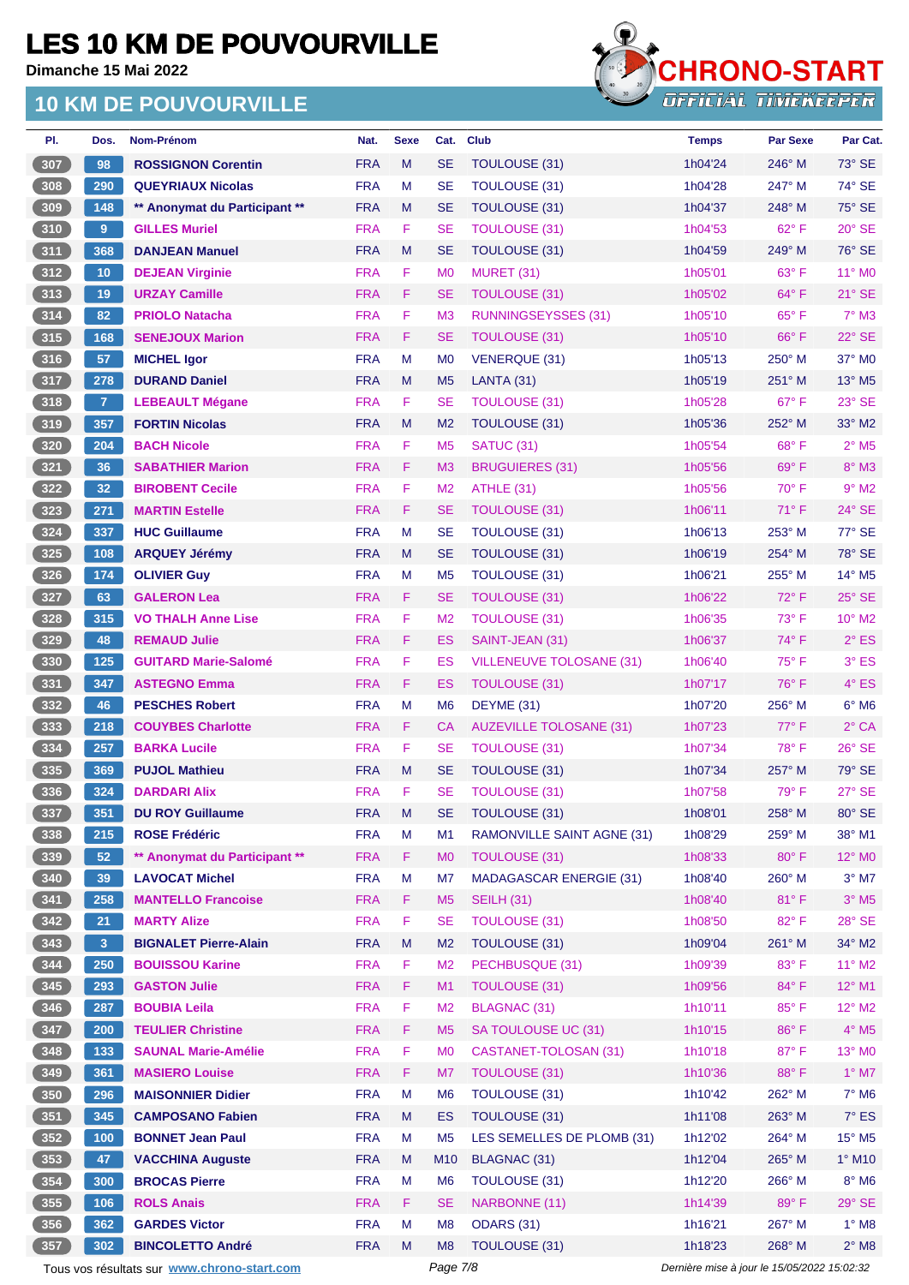**Dimanche 15 Mai 2022**



| PI. | Dos.           | Nom-Prénom                                  | Nat.       | <b>Sexe</b> | Cat.           | <b>Club</b>                       | <b>Temps</b>                                | <b>Par Sexe</b> | Par Cat.                   |
|-----|----------------|---------------------------------------------|------------|-------------|----------------|-----------------------------------|---------------------------------------------|-----------------|----------------------------|
| 307 | 98             | <b>ROSSIGNON Corentin</b>                   | <b>FRA</b> | M           | SE             | <b>TOULOUSE (31)</b>              | 1h04'24                                     | $246^\circ$ M   | $73^\circ$ SE              |
| 308 | 290            | <b>QUEYRIAUX Nicolas</b>                    | <b>FRA</b> | M           | <b>SE</b>      | <b>TOULOUSE (31)</b>              | 1h04'28                                     | 247° M          | 74° SE                     |
| 309 | 148            | ** Anonymat du Participant **               | <b>FRA</b> | M           | <b>SE</b>      | <b>TOULOUSE (31)</b>              | 1h04'37                                     | $248^\circ$ M   | 75° SE                     |
| 310 | $9$            | <b>GILLES Muriel</b>                        | <b>FRA</b> | F           | SE             | <b>TOULOUSE (31)</b>              | 1h04'53                                     | $62^{\circ}$ F  | $20^\circ$ SE              |
| 311 | 368            | <b>DANJEAN Manuel</b>                       | <b>FRA</b> | M           | SE             | <b>TOULOUSE (31)</b>              | 1h04'59                                     | $249^\circ$ M   | 76° SE                     |
| 312 | 10             | <b>DEJEAN Virginie</b>                      | <b>FRA</b> | F           | M <sub>0</sub> | <b>MURET (31)</b>                 | 1h05'01                                     | 63° F           | 11° MO                     |
| 313 | 19             | <b>URZAY Camille</b>                        | <b>FRA</b> | F.          | <b>SE</b>      | <b>TOULOUSE (31)</b>              | 1h05'02                                     | 64°F            | $21^\circ$ SE              |
| 314 | 82             | <b>PRIOLO Natacha</b>                       | <b>FRA</b> | F.          | M <sub>3</sub> | <b>RUNNINGSEYSSES (31)</b>        | 1h05'10                                     | 65°F            | $7^\circ$ M3               |
| 315 | 168            | <b>SENEJOUX Marion</b>                      | <b>FRA</b> | F.          | <b>SE</b>      | <b>TOULOUSE (31)</b>              | 1h05'10                                     | 66°F            | 22° SE                     |
| 316 | 57             | <b>MICHEL Igor</b>                          | <b>FRA</b> | M           | M <sub>0</sub> | <b>VENERQUE (31)</b>              | 1h05'13                                     | $250^\circ$ M   | 37° M0                     |
| 317 | 278            | <b>DURAND Daniel</b>                        | <b>FRA</b> | M           | M <sub>5</sub> | <b>LANTA (31)</b>                 | 1h05'19                                     | 251° M          | 13° M5                     |
| 318 | $\overline{7}$ | <b>LEBEAULT Mégane</b>                      | <b>FRA</b> | F.          | SE             | <b>TOULOUSE (31)</b>              | 1h05'28                                     | $67^\circ$ F    | 23° SE                     |
| 319 | 357            | <b>FORTIN Nicolas</b>                       | <b>FRA</b> | M           | M <sub>2</sub> | <b>TOULOUSE (31)</b>              | 1h05'36                                     | $252^{\circ}$ M | $33^\circ$ M2              |
| 320 | 204            | <b>BACH Nicole</b>                          | <b>FRA</b> | F.          | M <sub>5</sub> | SATUC <sub>(31)</sub>             | 1h05'54                                     | 68°F            | $2^{\circ}$ M <sub>5</sub> |
| 321 | 36             | <b>SABATHIER Marion</b>                     | <b>FRA</b> | F.          | M <sub>3</sub> | <b>BRUGUIERES (31)</b>            | 1h05'56                                     | $69^\circ$ F    | $8^\circ$ M3               |
| 322 | 32             | <b>BIROBENT Cecile</b>                      | <b>FRA</b> | F           | M <sub>2</sub> | ATHLE (31)                        | 1h05'56                                     | 70° F           | $9°$ M2                    |
| 323 | 271            | <b>MARTIN Estelle</b>                       | <b>FRA</b> | F.          | <b>SE</b>      | <b>TOULOUSE (31)</b>              | 1h06'11                                     | $71^\circ$ F    | 24° SE                     |
| 324 | 337            | <b>HUC Guillaume</b>                        | <b>FRA</b> | M           | <b>SE</b>      | <b>TOULOUSE (31)</b>              | 1h06'13                                     | 253° M          | 77° SE                     |
| 325 | 108            | <b>ARQUEY Jérémy</b>                        | <b>FRA</b> | M           | SE             | <b>TOULOUSE (31)</b>              | 1h06'19                                     | 254° M          | 78° SE                     |
| 326 | 174            | <b>OLIVIER Guy</b>                          | <b>FRA</b> | M           | M <sub>5</sub> | <b>TOULOUSE (31)</b>              | 1h06'21                                     | 255° M          | 14° M5                     |
| 327 | 63             | <b>GALERON Lea</b>                          | <b>FRA</b> | F.          | <b>SE</b>      | <b>TOULOUSE (31)</b>              | 1h06'22                                     | $72^{\circ}$ F  | $25^\circ$ SE              |
| 328 | 315            | <b>VO THALH Anne Lise</b>                   | <b>FRA</b> | F           | M <sub>2</sub> | <b>TOULOUSE (31)</b>              | 1h06'35                                     | $73^\circ$ F    | 10° M2                     |
| 329 | 48             | <b>REMAUD Julie</b>                         | <b>FRA</b> | F.          | ES             | SAINT-JEAN (31)                   | 1h06'37                                     | 74° F           | $2^{\circ}$ ES             |
| 330 | 125            | <b>GUITARD Marie-Salomé</b>                 | <b>FRA</b> | F.          | ES             | <b>VILLENEUVE TOLOSANE (31)</b>   | 1h06'40                                     | $75^{\circ}$ F  | $3°$ ES                    |
| 331 | 347            | <b>ASTEGNO Emma</b>                         | <b>FRA</b> | F.          | <b>ES</b>      | TOULOUSE (31)                     | 1h07'17                                     | 76°F            | $4^\circ$ ES               |
| 332 | 46             | <b>PESCHES Robert</b>                       | <b>FRA</b> | M           | M <sub>6</sub> | DEYME (31)                        | 1h07'20                                     | $256^\circ$ M   | $6^\circ$ M6               |
| 333 | 218            | <b>COUYBES Charlotte</b>                    | <b>FRA</b> | F.          | СA             | <b>AUZEVILLE TOLOSANE (31)</b>    | 1h07'23                                     | $77^\circ$ F    | $2°$ CA                    |
| 334 | 257            | <b>BARKA Lucile</b>                         | <b>FRA</b> | F           | <b>SE</b>      | <b>TOULOUSE (31)</b>              | 1h07'34                                     | $78^{\circ}$ F  | $26^\circ$ SE              |
| 335 | 369            |                                             | <b>FRA</b> |             | <b>SE</b>      | TOULOUSE (31)                     |                                             |                 | 79° SE                     |
|     |                | <b>PUJOL Mathieu</b>                        | <b>FRA</b> | M<br>F      | <b>SE</b>      | <b>TOULOUSE (31)</b>              | 1h07'34                                     | 257° M<br>79° F | 27° SE                     |
| 336 | 324            | <b>DARDARI Alix</b>                         |            |             |                |                                   | 1h07'58                                     |                 |                            |
| 337 | 351            | <b>DU ROY Guillaume</b>                     | <b>FRA</b> | M           | <b>SE</b>      | <b>TOULOUSE (31)</b>              | 1h08'01                                     | 258° M          | 80° SE                     |
| 338 | 215            | <b>ROSE Frédéric</b>                        | <b>FRA</b> | M           | M1             | <b>RAMONVILLE SAINT AGNE (31)</b> | 1h08'29                                     | 259° M          | 38° M1                     |
| 339 | 52             | ** Anonymat du Participant **               | <b>FRA</b> | F           | M <sub>0</sub> | <b>TOULOUSE (31)</b>              | 1h08'33                                     | 80°F            | 12° MO                     |
| 340 | 39             | <b>LAVOCAT Michel</b>                       | <b>FRA</b> | M           | M7             | <b>MADAGASCAR ENERGIE (31)</b>    | 1h08'40                                     | 260° M          | $3°$ M7                    |
| 341 | 258            | <b>MANTELLO Francoise</b>                   | <b>FRA</b> | F           | M <sub>5</sub> | <b>SEILH (31)</b>                 | 1h08'40                                     | 81°F            | $3^\circ$ M <sub>5</sub>   |
| 342 | 21             | <b>MARTY Alize</b>                          | <b>FRA</b> | F           | <b>SE</b>      | <b>TOULOUSE (31)</b>              | 1h08'50                                     | 82°F            | 28° SE                     |
| 343 | 3 <sup>°</sup> | <b>BIGNALET Pierre-Alain</b>                | <b>FRA</b> | M           | M <sub>2</sub> | TOULOUSE (31)                     | 1h09'04                                     | 261° M          | 34° M2                     |
| 344 | 250            | <b>BOUISSOU Karine</b>                      | <b>FRA</b> | F           | M <sub>2</sub> | PECHBUSQUE (31)                   | 1h09'39                                     | 83° F           | 11° M2                     |
| 345 | 293            | <b>GASTON Julie</b>                         | <b>FRA</b> | F.          | M1             | <b>TOULOUSE (31)</b>              | 1h09'56                                     | 84°F            | $12^{\circ}$ M1            |
| 346 | 287            | <b>BOUBIA Leila</b>                         | <b>FRA</b> | F           | M <sub>2</sub> | BLAGNAC (31)                      | 1h10'11                                     | 85°F            | 12° M2                     |
| 347 | 200            | <b>TEULIER Christine</b>                    | <b>FRA</b> | F.          | M <sub>5</sub> | SA TOULOUSE UC (31)               | 1h10'15                                     | 86°F            | $4^\circ$ M5               |
| 348 | 133            | <b>SAUNAL Marie-Amélie</b>                  | <b>FRA</b> | F           | M <sub>0</sub> | CASTANET-TOLOSAN (31)             | 1h10'18                                     | 87°F            | 13° MO                     |
| 349 | 361            | <b>MASIERO Louise</b>                       | <b>FRA</b> | F.          | M7             | <b>TOULOUSE (31)</b>              | 1h10'36                                     | 88°F            | $1^\circ$ M7               |
| 350 | 296            | <b>MAISONNIER Didier</b>                    | <b>FRA</b> | M           | M <sub>6</sub> | <b>TOULOUSE (31)</b>              | 1h10'42                                     | 262° M          | $7^\circ$ M6               |
| 351 | 345            | <b>CAMPOSANO Fabien</b>                     | <b>FRA</b> | M           | <b>ES</b>      | TOULOUSE (31)                     | 1h11'08                                     | 263° M          | $7^\circ$ ES               |
| 352 | 100            | <b>BONNET Jean Paul</b>                     | <b>FRA</b> | M           | M <sub>5</sub> | LES SEMELLES DE PLOMB (31)        | 1h12'02                                     | $264^\circ$ M   | 15° M5                     |
| 353 | 47             | <b>VACCHINA Auguste</b>                     | <b>FRA</b> | M           | M10            | <b>BLAGNAC (31)</b>               | 1h12'04                                     | 265° M          | 1° M10                     |
| 354 | 300            | <b>BROCAS Pierre</b>                        | <b>FRA</b> | M           | M <sub>6</sub> | TOULOUSE (31)                     | 1h12'20                                     | 266° M          | $8^\circ$ M6               |
| 355 | 106            | <b>ROLS Anais</b>                           | <b>FRA</b> | F           | <b>SE</b>      | NARBONNE (11)                     | 1h14'39                                     | 89°F            | 29° SE                     |
| 356 | 362            | <b>GARDES Victor</b>                        | <b>FRA</b> | M           | M <sub>8</sub> | <b>ODARS (31)</b>                 | 1h16'21                                     | 267° M          | $1^\circ$ M8               |
| 357 | 302            | <b>BINCOLETTO André</b>                     | <b>FRA</b> | M           | M <sub>8</sub> | TOULOUSE (31)                     | 1h18'23                                     | 268° M          | $2^\circ$ M <sub>8</sub>   |
|     |                | Tous vos résultats sur www.chrono-start.com |            |             | Page 7/8       |                                   | Dernière mise à jour le 15/05/2022 15:02:32 |                 |                            |